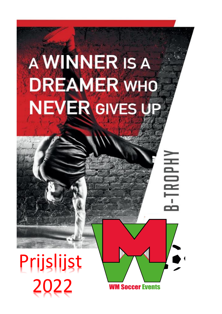# A WINNER IS A **DREAMER WHO** NEVER GIVES UP

## Prijslijst 2022

**WM Soccer Events** 

B-TROPH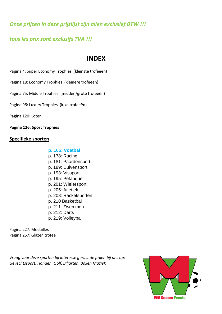*Onze prijzen in deze prijslijst zijn allen exclusief BTW !!!*

## *tous les prix sont exclusifs TVA !!!*

## **INDEX**

Pagina 4: Super Economy Trophies (kleinste trofeeën)

Pagina 18: Economy Trophies (kleinere trofeeën)

Pagina 75: Middle Trophies (midden/grote trofeeën)

Pagina 96: Luxury Trophies (luxe trofeeën)

Pagina 120: Loten

**Pagina 126: Sport Trophies**

#### **Specifieke sporten**

#### **p. 165: Voetbal**

- p. 178: Racing
- p. 181: Paardensport
- p. 189: Duivensport
- p. 193: Vissport
- p. 195: Petanque
- p. 201: Wielersport
- p. 205: Atletiek
- p. 208: Racketsporten
- p. 210 Basketbal
- p. 211: Zwemmen
- p. 212: Darts
- p. 219: Volleybal

Pagina 227: Medailles Pagina 257: Glazen trofee

*Vraag voor deze sporten bij interesse gerust de prijen bij ons op: Gevechtssport, Honden, Golf, Biljarten, Boxen,Muziek*

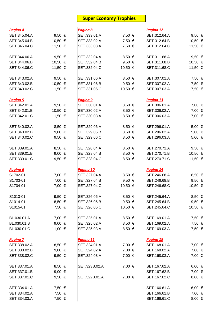## **Super Economy Trophies**

| Pagina 4     |                 | Pagina 8      |            | Pagina 12    |                 |
|--------------|-----------------|---------------|------------|--------------|-----------------|
| SET.345.04.A | 9,50 $\in$      | SET.333.01.A  | 7,50 €     | SET.312.64.A | 9,50 $\in$      |
| SET.345.04.B | 10,50 €         | SET.333.02.A  | 7,50 €     | SET.312.64.B | 10,50 €         |
| SET.345.04.C | 11,50 €         | SET.333.03.A  | 7,50 €     | SET.312.64.C | 11,50 €         |
| SET.344.06.A | 9,50 $\in$      | SET.332.04.A  | $8,50 \in$ | SET.311.68.A | 9,50 $\in$      |
| SET.344.06.B | 10,50 €         | SET.332.04.B  | 9,50 $\in$ | SET.311.68.B | 10,50 €         |
| SET.344.06.C | 11,50 €         | SET.332.04.C  | 10,50 €    | SET.311.68.C | 11,50 €         |
| SET.343.02.A | 9,50 $\in$      | SET.331.06.A  | $8,50 \in$ | SET.307.01.A | 7,50 €          |
| SET.343.02.B | 10,50 €         | SET.331.06.B  | 9,50 $\in$ | SET.307.02.A | 7,50 €          |
| SET.343.02.C | 11,50 €         | SET.331.06.C  | 10,50 €    | SET.307.03.A | 7,50 €          |
| Pagina 5     |                 | Pagina 9      |            | Pagina 13    |                 |
| SET.342.01.A | 9,50 $\in$      | SET.330.01.A  | $8,50 \in$ | SET.306.01.A | 7,00 €          |
| SET.342.01.B | 10,50 €         | SET.330.02.A  | $8,50 \in$ | SET.306.02.A | 7,00 €          |
| SET.342.01.C | 11,50 €         | SET.330.03.A  | $8,50 \in$ | SET.306.03.A | 7,00 €          |
| SET.340.02.A | $8,50 \in$      | SET.329.06.A  | 8,50 €     | SET.296.01.A | 5,00 €          |
| SET.340.02.B | 9,00 $\in$      | SET.329.06.B  | $8,50 \in$ | SET.296.02.A | 5,00 €          |
| SET.340.02.C | 9,50 $\in$      | SET.329.06.C  | 8,50 €     | SET.296.03.A | $5,00 \in$      |
| SET.339.01.A | 8,50 €          | SET.328.04.A  | $8,50 \in$ | SET.270.71.A | 9,50 $\in$      |
| SET.339.01.B | 9,00 $\in$      | SET.328.04.B  | 8,50 €     | SET.270.71.B | 10,50 €         |
| SET.339.01.C | 9,50 $\in$      | SET.328.04.C  | 8,50 €     | SET.270.71.C | 11,50 €         |
| Pagina 6     |                 | Pagina 10     |            | Pagina 14    |                 |
|              |                 |               |            |              |                 |
| S1702-01     | 7,00 €          | SET.327.04.A  | 8,50 €     | SET.246.68.A | $8,50 \in$      |
| S1703-01     | 7,00 €          | SET.327.04.B  | 9,50 $\in$ | SET.246.68.B | 9,50 $\in$      |
| S1704-01     | 7,00 €          | SET.327.04.C  | 10,50 €    | SET.246.68.C | 10,50 €         |
| S1013-01     | 9,50 $\epsilon$ | SET.326.06.A  | $8,50 \in$ | SET.245.64.A | 8,50 $\epsilon$ |
| S1014-01     | $8,50 \in$      | SET.326.06.B  | 9,50 $\in$ | SET.245.64.B | 9,50 $\in$      |
| S1015-01     | 7,50 €          | SET.326.06.C  | 10,50 €    | SET.245.64.C | 10,50 €         |
| BL.030.01.A  | 7,00 €          | SET.325.01.A  | $8,50 \in$ | SET.169.01.A | 7,50 €          |
| BL.030.01.B  | 9,00 $\in$      | SET.325.02.A  | $8,50 \in$ | SET.169.02.A | 7,50 €          |
| BL.030.01.C  | 11,00 €         | SET.325.03.A  | $8,50 \in$ | SET.169.03.A | 7,50 €          |
| Pagina 7     |                 | Pagina 11     |            | Pagina 15    |                 |
| SET.338.02.A | $8,50 \in$      | SET.324.01.A  | 7,00 €     | SET.168.01.A | 7,00 €          |
| SET.338.02.B | 9,00 $\in$      | SET.324.02.A  | 7,00 €     | SET.168.02.A | 7,00 €          |
| SET.338.02.C | 9,50 $\epsilon$ | SET.324.03.A  | 7,00 €     | SET.168.03.A | 7,00 €          |
| SET.337.01.A | $8,50 \in$      | SET.323B.02.A | 7,00 €     | SET.167.62.A | 6,00 €          |
| SET.337.01.B | 9,00 $\in$      |               |            | SET.167.62.B | 7,00 €          |
| SET.337.01.C | 9,50 $\epsilon$ | SET.322B.01.A | 7,00 €     | SET.167.62.C | $8,00 \in$      |
| SET.334.01.A | 7,50 €          |               |            | SET.166.61.A | 6,00 €          |
| SET.334.02.A | 7,50 €          |               |            | SET.166.61.B | 7,00 €          |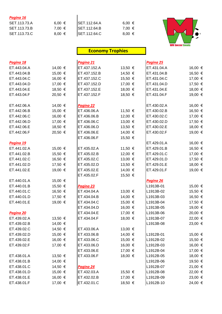#### *Pagina 16*

| Pagina 16    |            |                      |            |  |
|--------------|------------|----------------------|------------|--|
| SET.113.73.A | 6,00 €     | <b>SET.112.64.A</b>  | 6,00 €     |  |
| SET.113.73.B | 7.00 €     | <b>SET.112.64.B</b>  | 7.00 €     |  |
| SET.113.73.C | $8,00 \in$ | <b>ISET.112.64.C</b> | $8,00 \in$ |  |



## **Economy Trophies**

| Pagina 18   |         | Pagina 21        |         | Pagina 25   |         |
|-------------|---------|------------------|---------|-------------|---------|
| ET.443.04.A | 14,00 € | ET.437.152.A     | 13,50 € | ET.431.04.A | 16,00 € |
| ET.443.04.B | 15,00 € | ET.437.152.B     | 14,50 € | ET.431.04.B | 16,50 € |
| ET.443.04.C | 16,00 € | ET.437.152.C     | 15,50 € | ET.431.04.C | 17,00 € |
| ET.443.04.D | 17,00 € | ET.437.152.D     | 17,00 € | ET.431.04.D | 17,50 € |
| ET.443.04.E | 18,50 € | ET.437.152.E     | 18,00 € | ET.431.04.E | 18,00 € |
| ET.443.04.F | 20,50 € | ET.437.152.F     | 18,50 € | ET.431.04.F | 19,00 € |
| ET.442.06.A | 14,00 € | Pagina 22        |         | ET.430.02.A | 16,00 € |
| ET.442.06.B | 15,00 € | ET.436.06.A      | 11,50 € | ET.430.02.B | 16,50 € |
| ET.442.06.C | 16,00 € | ET.436.06.B      | 12,00 € | ET.430.02.C | 17,00 € |
| ET.442.06.D | 17,00 € | ET.436.06.C      | 13,00 € | ET.430.02.D | 17,50 € |
| ET.442.06.E | 18,50 € | ET.436.06.D      | 13,50 € | ET.430.02.E | 18,00 € |
| ET.442.06.F | 20,50 € | ET.436.06.E      | 14,00 € | ET.430.02.F | 19,00 € |
|             |         | ET.436.06.F      | 15,50 € |             |         |
| Pagina 19   |         |                  |         | ET.429.01.A | 16,00 € |
| ET.441.02.A | 15,00 € | ET.435.02.A      | 11,50 € | ET.429.01.B | 16,50 € |
| ET.441.02.B | 15,50 € | ET.435.02.B      | 12,00 € | ET.429.01.C | 17,00 € |
| ET.441.02.C | 16,50 € | ET.435.02.C      | 13,00 € | ET.429.01.D | 17,50 € |
| ET.441.02.D | 17,50 € | ET.435.02.D      | 13,50 € | ET.429.01.E | 18,00 € |
| ET.441.02.E | 19,00 € | ET.435.02.E      | 14,00 € | ET.429.01.F | 19,00 € |
|             |         | ET.435.02.F      | 15,50 € |             |         |
| ET.440.01.A | 15,00 € |                  |         | Pagina 26   |         |
| ET.440.01.B | 15,50 € | Pagina 23        |         | L1913B-01   | 15,00 € |
| ET.440.01.C | 16,50 € | ET.434.04.A      | 13,00 € | L1913B-02   | 15,50 € |
| ET.440.01.D | 17,50 € | ET.434.04.B      | 14,00 € | L1913B-03   | 16,50 € |
| ET.440.01.E | 19,00 € | ET.434.04.C      | 15,00 € | L1913B-04   | 17,50 € |
|             |         | ET.434.04.D      | 16,00 € | L1913B-05   | 19,00 € |
| Pagina 20   |         | ET.434.04.E      | 17,00 € | L1913B-06   | 20,00 € |
| ET.439.02.A | 13,50 € | ET.434.04.F      | 18,00 € | L1913B-07   | 22,00 € |
| ET.439.02.B | 14,00 € |                  |         | L1913B-08   | 23,00 € |
| ET.439.02.C | 14,50 € | ET.433.06.A      | 13,00 € |             |         |
| ET.439.02.D | 15,00 € | ET.433.06.B      | 14,00 € | L1912B-01   | 15,00 € |
| ET.439.02.E | 16,00 € | ET.433.06.C      | 15,00 € | L1912B-02   | 15,50 € |
| ET.439.02.F | 17,00 € | ET.433.06.D      | 16,00 € | L1912B-03   | 16,00 € |
|             |         | ET.433.06.E      | 17,00 € | L1912B-04   | 17,00 € |
| ET.438.01.A | 13,50 € | ET.433.06.F      | 18,00 € | L1912B-05   | 18,00 € |
| ET.438.01.B | 14,00 € |                  |         | L1912B-06   | 19,50 € |
| ET.438.01.C | 14,50 € | <u>Pagina 24</u> |         | L1912B-07   | 21,00 € |
| ET.438.01.D | 15,00 € | ET.432.03.A      | 15,50 € | L1912B-08   | 22,00 € |
| ET.438.01.E | 16,00 € | ET.432.02.B      | 17,00 € | L1912B-09   | 23,00 € |
| ET.438.01.F | 17,00 € | ET.432.01.C      | 18,50 € | L1912B-10   | 24,00 € |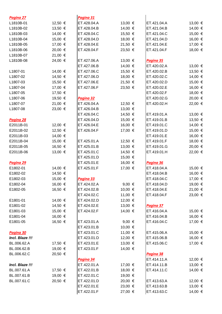| 12,50 €<br>ET.428.04.A<br>13,00 €<br>ET.421.04.A<br>13,00 €<br>L1810B-01<br>13,50 €<br>14,00 €<br>14,00 €<br>ET.428.04.B<br>ET.421.04.B<br>L1810B-02<br>14,00 €<br>15,00 €<br>L1810B-03<br>ET.428.04.C<br>15,50 €<br>ET.421.04.C<br>16,00 €<br>15,00 €<br>18,00 €<br>ET.421.04.D<br>L1810B-04<br>ET.428.04.D<br>17,00 €<br>21,50 €<br>17,00 €<br>L1810B-05<br>ET.428.04.E<br>ET.421.04.E<br>20,00 €<br>18,00 €<br>ET.428.04.F<br>23,50 €<br>ET.421.04.F<br>L1810B-06<br>21,00 €<br>L1810B-07<br>L1810B-08<br>24,00 €<br>13,00 €<br>ET.427.06.A<br>Pagina 35<br>ET.427.06.B<br>14,00 €<br>ET.420.02.A<br>13,00 €<br>13,50 €<br>14,00 €<br>ET.427.06.C<br>15,50 €<br>ET.420.02.B<br>L1807-01<br>14,00 €<br>14,50 €<br>ET.427.06.D<br>18,00 €<br>ET.420.02.C<br>L1807-02<br>21,50 €<br>15,00 €<br>15,50 €<br>ET.427.06.E<br>ET.420.02.D<br>L1807-03<br>16,00 €<br>17,00 €<br>ET.427.06.F<br>23,50 €<br>ET.420.02.E<br>L1807-04<br>17,50 €<br>18,00 €<br>ET.420.02.F<br>L1807-05<br>20,00 €<br>L1807-06<br>19,50 €<br>ET.420.02.G<br>Pagina 32<br>21,00 €<br>ET.426.04.A<br>12,50 €<br>ET.420.02.H<br>22,00 €<br>L1807-07<br>23,00 €<br>13,00 €<br>L1807-08<br>ET.426.04.B<br>ET.426.04.C<br>14,50 €<br>ET.419.01.A<br>13,00 €<br>ET.426.04.D<br>15,00 €<br>ET.419.01.B<br>13,50 €<br>Pagina 28<br>12,00 €<br>ET.426.04.E<br>16,00 €<br>ET.419.01.C<br>14,00 €<br>E2011B-01<br>12,50 €<br>15,00 €<br>ET.426.04.F<br>17,00 €<br>ET.419.01.D<br>E2011B-02<br>16,00 €<br>14,00 €<br>E2011B-03<br>ET.419.01.E<br>15,00 €<br>ET.419.01.F<br>18,00 €<br>E2011B-04<br>ET.425.01.A<br>12,50 €<br>16,50 €<br>20,00 €<br>ET.425.01.B<br>13,00 €<br>ET.419.01.G<br>E2011B-05<br>13,00 €<br>ET.425.01.C<br>14,50 €<br>22,00 €<br>E2011B-06<br>ET.419.01.H<br>ET.425.01.D<br>15,00 €<br>ET.425.01.E<br>16,00 €<br>Pagina 29<br>Pagina 36<br>E1802-01<br>14,00 €<br>ET.425.01.F<br>17,00 €<br>ET.418.04.A<br>15,00 €<br>16,00 €<br>14,50 €<br>ET.418.04.B<br>E1802-02<br>17,00 €<br>E1802-03<br>15,00 €<br>ET.418.04.C<br>Pagina 33<br>16,00 €<br>9,00 $\in$<br>ET.418.04.D<br>19,00 €<br>E1802-04<br>ET.424.02.A<br>16,50 €<br>10,00 €<br>21,00 €<br>ET.418.04.E<br>E1802-05<br>ET.424.02.B<br>11,00 €<br>23,00 €<br>ET.424.02.C<br>ET.418.04.F<br>ET.424.02.D<br>12,00 €<br>E1801-01<br>14,00 €<br>13,00 €<br>E1801-02<br>14,50 €<br>ET.424.02.E<br>Pagina 37<br>15,00 €<br>14,00 €<br>ET.416.04.A<br>15,00 €<br>E1801-03<br>ET.424.02.F<br>16,00 €<br>16,00 €<br>ET.416.04.B<br>E1801-04<br>16,50 €<br>17,00 €<br>E1801-05<br>ET.416.04.C<br>ET.423.01.A<br>9,00 $\epsilon$<br>ET.423.01.B<br>10,00 €<br>ET.423.01.C<br>11,00 €<br>15,00 €<br>Pagina 30<br>ET.415.06.A<br>16,00 €<br>Incl. Blaze !!!<br>ET.423.01.D<br>12,00 €<br>ET.415.06.B<br>13,00 €<br>17,00 €<br>BL.006.62.A<br>17,50 €<br>ET.423.01.E<br>ET.415.06.C<br>19,00 €<br>14,00 €<br>BL.006.62.B<br>ET.423.01.F<br>20,50 €<br>BL.006.62.C<br>Pagina 38<br>ET.414.11.A<br>12,00 €<br>Pagina 34<br>Incl. Blaze !!!<br>ET.422.01.A<br>ET.414.11.B<br>13,00 €<br>17,00 €<br>18,00 €<br>14,00 €<br>BL.007.61.A<br>17,50 €<br>ET.422.01.B<br>ET.414.11.C<br>19,00 €<br>BL.007.61.B<br>ET.422.01.C<br>19,00 €<br>20,50 €<br>BL.007.61.C<br>ET.422.01.D<br>20,00 €<br>ET.413.63.A<br>12,00 €<br>ET.422.01.E<br>23,00 €<br>ET.413.63.B<br>13,00 €<br>ET.422.01.F<br>ET.413.63.C<br>14,00 €<br>27,00 € | Pagina 27 | Pagina 31 |  |  |
|-----------------------------------------------------------------------------------------------------------------------------------------------------------------------------------------------------------------------------------------------------------------------------------------------------------------------------------------------------------------------------------------------------------------------------------------------------------------------------------------------------------------------------------------------------------------------------------------------------------------------------------------------------------------------------------------------------------------------------------------------------------------------------------------------------------------------------------------------------------------------------------------------------------------------------------------------------------------------------------------------------------------------------------------------------------------------------------------------------------------------------------------------------------------------------------------------------------------------------------------------------------------------------------------------------------------------------------------------------------------------------------------------------------------------------------------------------------------------------------------------------------------------------------------------------------------------------------------------------------------------------------------------------------------------------------------------------------------------------------------------------------------------------------------------------------------------------------------------------------------------------------------------------------------------------------------------------------------------------------------------------------------------------------------------------------------------------------------------------------------------------------------------------------------------------------------------------------------------------------------------------------------------------------------------------------------------------------------------------------------------------------------------------------------------------------------------------------------------------------------------------------------------------------------------------------------------------------------------------------------------------------------------------------------------------------------------------------------------------------------------------------------------------------------------------------------------------------------------------------------------------------------------------------------------------------------------------------------------------------------------------------------------------------------------------------------------------------------------------------------------------------------------------------------------------------------------------------------------------------------------------------------------------------------------------------------------------------------------|-----------|-----------|--|--|
|                                                                                                                                                                                                                                                                                                                                                                                                                                                                                                                                                                                                                                                                                                                                                                                                                                                                                                                                                                                                                                                                                                                                                                                                                                                                                                                                                                                                                                                                                                                                                                                                                                                                                                                                                                                                                                                                                                                                                                                                                                                                                                                                                                                                                                                                                                                                                                                                                                                                                                                                                                                                                                                                                                                                                                                                                                                                                                                                                                                                                                                                                                                                                                                                                                                                                                                                               |           |           |  |  |
|                                                                                                                                                                                                                                                                                                                                                                                                                                                                                                                                                                                                                                                                                                                                                                                                                                                                                                                                                                                                                                                                                                                                                                                                                                                                                                                                                                                                                                                                                                                                                                                                                                                                                                                                                                                                                                                                                                                                                                                                                                                                                                                                                                                                                                                                                                                                                                                                                                                                                                                                                                                                                                                                                                                                                                                                                                                                                                                                                                                                                                                                                                                                                                                                                                                                                                                                               |           |           |  |  |
|                                                                                                                                                                                                                                                                                                                                                                                                                                                                                                                                                                                                                                                                                                                                                                                                                                                                                                                                                                                                                                                                                                                                                                                                                                                                                                                                                                                                                                                                                                                                                                                                                                                                                                                                                                                                                                                                                                                                                                                                                                                                                                                                                                                                                                                                                                                                                                                                                                                                                                                                                                                                                                                                                                                                                                                                                                                                                                                                                                                                                                                                                                                                                                                                                                                                                                                                               |           |           |  |  |
|                                                                                                                                                                                                                                                                                                                                                                                                                                                                                                                                                                                                                                                                                                                                                                                                                                                                                                                                                                                                                                                                                                                                                                                                                                                                                                                                                                                                                                                                                                                                                                                                                                                                                                                                                                                                                                                                                                                                                                                                                                                                                                                                                                                                                                                                                                                                                                                                                                                                                                                                                                                                                                                                                                                                                                                                                                                                                                                                                                                                                                                                                                                                                                                                                                                                                                                                               |           |           |  |  |
|                                                                                                                                                                                                                                                                                                                                                                                                                                                                                                                                                                                                                                                                                                                                                                                                                                                                                                                                                                                                                                                                                                                                                                                                                                                                                                                                                                                                                                                                                                                                                                                                                                                                                                                                                                                                                                                                                                                                                                                                                                                                                                                                                                                                                                                                                                                                                                                                                                                                                                                                                                                                                                                                                                                                                                                                                                                                                                                                                                                                                                                                                                                                                                                                                                                                                                                                               |           |           |  |  |
|                                                                                                                                                                                                                                                                                                                                                                                                                                                                                                                                                                                                                                                                                                                                                                                                                                                                                                                                                                                                                                                                                                                                                                                                                                                                                                                                                                                                                                                                                                                                                                                                                                                                                                                                                                                                                                                                                                                                                                                                                                                                                                                                                                                                                                                                                                                                                                                                                                                                                                                                                                                                                                                                                                                                                                                                                                                                                                                                                                                                                                                                                                                                                                                                                                                                                                                                               |           |           |  |  |
|                                                                                                                                                                                                                                                                                                                                                                                                                                                                                                                                                                                                                                                                                                                                                                                                                                                                                                                                                                                                                                                                                                                                                                                                                                                                                                                                                                                                                                                                                                                                                                                                                                                                                                                                                                                                                                                                                                                                                                                                                                                                                                                                                                                                                                                                                                                                                                                                                                                                                                                                                                                                                                                                                                                                                                                                                                                                                                                                                                                                                                                                                                                                                                                                                                                                                                                                               |           |           |  |  |
|                                                                                                                                                                                                                                                                                                                                                                                                                                                                                                                                                                                                                                                                                                                                                                                                                                                                                                                                                                                                                                                                                                                                                                                                                                                                                                                                                                                                                                                                                                                                                                                                                                                                                                                                                                                                                                                                                                                                                                                                                                                                                                                                                                                                                                                                                                                                                                                                                                                                                                                                                                                                                                                                                                                                                                                                                                                                                                                                                                                                                                                                                                                                                                                                                                                                                                                                               |           |           |  |  |
|                                                                                                                                                                                                                                                                                                                                                                                                                                                                                                                                                                                                                                                                                                                                                                                                                                                                                                                                                                                                                                                                                                                                                                                                                                                                                                                                                                                                                                                                                                                                                                                                                                                                                                                                                                                                                                                                                                                                                                                                                                                                                                                                                                                                                                                                                                                                                                                                                                                                                                                                                                                                                                                                                                                                                                                                                                                                                                                                                                                                                                                                                                                                                                                                                                                                                                                                               |           |           |  |  |
|                                                                                                                                                                                                                                                                                                                                                                                                                                                                                                                                                                                                                                                                                                                                                                                                                                                                                                                                                                                                                                                                                                                                                                                                                                                                                                                                                                                                                                                                                                                                                                                                                                                                                                                                                                                                                                                                                                                                                                                                                                                                                                                                                                                                                                                                                                                                                                                                                                                                                                                                                                                                                                                                                                                                                                                                                                                                                                                                                                                                                                                                                                                                                                                                                                                                                                                                               |           |           |  |  |
|                                                                                                                                                                                                                                                                                                                                                                                                                                                                                                                                                                                                                                                                                                                                                                                                                                                                                                                                                                                                                                                                                                                                                                                                                                                                                                                                                                                                                                                                                                                                                                                                                                                                                                                                                                                                                                                                                                                                                                                                                                                                                                                                                                                                                                                                                                                                                                                                                                                                                                                                                                                                                                                                                                                                                                                                                                                                                                                                                                                                                                                                                                                                                                                                                                                                                                                                               |           |           |  |  |
|                                                                                                                                                                                                                                                                                                                                                                                                                                                                                                                                                                                                                                                                                                                                                                                                                                                                                                                                                                                                                                                                                                                                                                                                                                                                                                                                                                                                                                                                                                                                                                                                                                                                                                                                                                                                                                                                                                                                                                                                                                                                                                                                                                                                                                                                                                                                                                                                                                                                                                                                                                                                                                                                                                                                                                                                                                                                                                                                                                                                                                                                                                                                                                                                                                                                                                                                               |           |           |  |  |
|                                                                                                                                                                                                                                                                                                                                                                                                                                                                                                                                                                                                                                                                                                                                                                                                                                                                                                                                                                                                                                                                                                                                                                                                                                                                                                                                                                                                                                                                                                                                                                                                                                                                                                                                                                                                                                                                                                                                                                                                                                                                                                                                                                                                                                                                                                                                                                                                                                                                                                                                                                                                                                                                                                                                                                                                                                                                                                                                                                                                                                                                                                                                                                                                                                                                                                                                               |           |           |  |  |
|                                                                                                                                                                                                                                                                                                                                                                                                                                                                                                                                                                                                                                                                                                                                                                                                                                                                                                                                                                                                                                                                                                                                                                                                                                                                                                                                                                                                                                                                                                                                                                                                                                                                                                                                                                                                                                                                                                                                                                                                                                                                                                                                                                                                                                                                                                                                                                                                                                                                                                                                                                                                                                                                                                                                                                                                                                                                                                                                                                                                                                                                                                                                                                                                                                                                                                                                               |           |           |  |  |
|                                                                                                                                                                                                                                                                                                                                                                                                                                                                                                                                                                                                                                                                                                                                                                                                                                                                                                                                                                                                                                                                                                                                                                                                                                                                                                                                                                                                                                                                                                                                                                                                                                                                                                                                                                                                                                                                                                                                                                                                                                                                                                                                                                                                                                                                                                                                                                                                                                                                                                                                                                                                                                                                                                                                                                                                                                                                                                                                                                                                                                                                                                                                                                                                                                                                                                                                               |           |           |  |  |
|                                                                                                                                                                                                                                                                                                                                                                                                                                                                                                                                                                                                                                                                                                                                                                                                                                                                                                                                                                                                                                                                                                                                                                                                                                                                                                                                                                                                                                                                                                                                                                                                                                                                                                                                                                                                                                                                                                                                                                                                                                                                                                                                                                                                                                                                                                                                                                                                                                                                                                                                                                                                                                                                                                                                                                                                                                                                                                                                                                                                                                                                                                                                                                                                                                                                                                                                               |           |           |  |  |
|                                                                                                                                                                                                                                                                                                                                                                                                                                                                                                                                                                                                                                                                                                                                                                                                                                                                                                                                                                                                                                                                                                                                                                                                                                                                                                                                                                                                                                                                                                                                                                                                                                                                                                                                                                                                                                                                                                                                                                                                                                                                                                                                                                                                                                                                                                                                                                                                                                                                                                                                                                                                                                                                                                                                                                                                                                                                                                                                                                                                                                                                                                                                                                                                                                                                                                                                               |           |           |  |  |
|                                                                                                                                                                                                                                                                                                                                                                                                                                                                                                                                                                                                                                                                                                                                                                                                                                                                                                                                                                                                                                                                                                                                                                                                                                                                                                                                                                                                                                                                                                                                                                                                                                                                                                                                                                                                                                                                                                                                                                                                                                                                                                                                                                                                                                                                                                                                                                                                                                                                                                                                                                                                                                                                                                                                                                                                                                                                                                                                                                                                                                                                                                                                                                                                                                                                                                                                               |           |           |  |  |
|                                                                                                                                                                                                                                                                                                                                                                                                                                                                                                                                                                                                                                                                                                                                                                                                                                                                                                                                                                                                                                                                                                                                                                                                                                                                                                                                                                                                                                                                                                                                                                                                                                                                                                                                                                                                                                                                                                                                                                                                                                                                                                                                                                                                                                                                                                                                                                                                                                                                                                                                                                                                                                                                                                                                                                                                                                                                                                                                                                                                                                                                                                                                                                                                                                                                                                                                               |           |           |  |  |
|                                                                                                                                                                                                                                                                                                                                                                                                                                                                                                                                                                                                                                                                                                                                                                                                                                                                                                                                                                                                                                                                                                                                                                                                                                                                                                                                                                                                                                                                                                                                                                                                                                                                                                                                                                                                                                                                                                                                                                                                                                                                                                                                                                                                                                                                                                                                                                                                                                                                                                                                                                                                                                                                                                                                                                                                                                                                                                                                                                                                                                                                                                                                                                                                                                                                                                                                               |           |           |  |  |
|                                                                                                                                                                                                                                                                                                                                                                                                                                                                                                                                                                                                                                                                                                                                                                                                                                                                                                                                                                                                                                                                                                                                                                                                                                                                                                                                                                                                                                                                                                                                                                                                                                                                                                                                                                                                                                                                                                                                                                                                                                                                                                                                                                                                                                                                                                                                                                                                                                                                                                                                                                                                                                                                                                                                                                                                                                                                                                                                                                                                                                                                                                                                                                                                                                                                                                                                               |           |           |  |  |
|                                                                                                                                                                                                                                                                                                                                                                                                                                                                                                                                                                                                                                                                                                                                                                                                                                                                                                                                                                                                                                                                                                                                                                                                                                                                                                                                                                                                                                                                                                                                                                                                                                                                                                                                                                                                                                                                                                                                                                                                                                                                                                                                                                                                                                                                                                                                                                                                                                                                                                                                                                                                                                                                                                                                                                                                                                                                                                                                                                                                                                                                                                                                                                                                                                                                                                                                               |           |           |  |  |
|                                                                                                                                                                                                                                                                                                                                                                                                                                                                                                                                                                                                                                                                                                                                                                                                                                                                                                                                                                                                                                                                                                                                                                                                                                                                                                                                                                                                                                                                                                                                                                                                                                                                                                                                                                                                                                                                                                                                                                                                                                                                                                                                                                                                                                                                                                                                                                                                                                                                                                                                                                                                                                                                                                                                                                                                                                                                                                                                                                                                                                                                                                                                                                                                                                                                                                                                               |           |           |  |  |
|                                                                                                                                                                                                                                                                                                                                                                                                                                                                                                                                                                                                                                                                                                                                                                                                                                                                                                                                                                                                                                                                                                                                                                                                                                                                                                                                                                                                                                                                                                                                                                                                                                                                                                                                                                                                                                                                                                                                                                                                                                                                                                                                                                                                                                                                                                                                                                                                                                                                                                                                                                                                                                                                                                                                                                                                                                                                                                                                                                                                                                                                                                                                                                                                                                                                                                                                               |           |           |  |  |
|                                                                                                                                                                                                                                                                                                                                                                                                                                                                                                                                                                                                                                                                                                                                                                                                                                                                                                                                                                                                                                                                                                                                                                                                                                                                                                                                                                                                                                                                                                                                                                                                                                                                                                                                                                                                                                                                                                                                                                                                                                                                                                                                                                                                                                                                                                                                                                                                                                                                                                                                                                                                                                                                                                                                                                                                                                                                                                                                                                                                                                                                                                                                                                                                                                                                                                                                               |           |           |  |  |
|                                                                                                                                                                                                                                                                                                                                                                                                                                                                                                                                                                                                                                                                                                                                                                                                                                                                                                                                                                                                                                                                                                                                                                                                                                                                                                                                                                                                                                                                                                                                                                                                                                                                                                                                                                                                                                                                                                                                                                                                                                                                                                                                                                                                                                                                                                                                                                                                                                                                                                                                                                                                                                                                                                                                                                                                                                                                                                                                                                                                                                                                                                                                                                                                                                                                                                                                               |           |           |  |  |
|                                                                                                                                                                                                                                                                                                                                                                                                                                                                                                                                                                                                                                                                                                                                                                                                                                                                                                                                                                                                                                                                                                                                                                                                                                                                                                                                                                                                                                                                                                                                                                                                                                                                                                                                                                                                                                                                                                                                                                                                                                                                                                                                                                                                                                                                                                                                                                                                                                                                                                                                                                                                                                                                                                                                                                                                                                                                                                                                                                                                                                                                                                                                                                                                                                                                                                                                               |           |           |  |  |
|                                                                                                                                                                                                                                                                                                                                                                                                                                                                                                                                                                                                                                                                                                                                                                                                                                                                                                                                                                                                                                                                                                                                                                                                                                                                                                                                                                                                                                                                                                                                                                                                                                                                                                                                                                                                                                                                                                                                                                                                                                                                                                                                                                                                                                                                                                                                                                                                                                                                                                                                                                                                                                                                                                                                                                                                                                                                                                                                                                                                                                                                                                                                                                                                                                                                                                                                               |           |           |  |  |
|                                                                                                                                                                                                                                                                                                                                                                                                                                                                                                                                                                                                                                                                                                                                                                                                                                                                                                                                                                                                                                                                                                                                                                                                                                                                                                                                                                                                                                                                                                                                                                                                                                                                                                                                                                                                                                                                                                                                                                                                                                                                                                                                                                                                                                                                                                                                                                                                                                                                                                                                                                                                                                                                                                                                                                                                                                                                                                                                                                                                                                                                                                                                                                                                                                                                                                                                               |           |           |  |  |
|                                                                                                                                                                                                                                                                                                                                                                                                                                                                                                                                                                                                                                                                                                                                                                                                                                                                                                                                                                                                                                                                                                                                                                                                                                                                                                                                                                                                                                                                                                                                                                                                                                                                                                                                                                                                                                                                                                                                                                                                                                                                                                                                                                                                                                                                                                                                                                                                                                                                                                                                                                                                                                                                                                                                                                                                                                                                                                                                                                                                                                                                                                                                                                                                                                                                                                                                               |           |           |  |  |
|                                                                                                                                                                                                                                                                                                                                                                                                                                                                                                                                                                                                                                                                                                                                                                                                                                                                                                                                                                                                                                                                                                                                                                                                                                                                                                                                                                                                                                                                                                                                                                                                                                                                                                                                                                                                                                                                                                                                                                                                                                                                                                                                                                                                                                                                                                                                                                                                                                                                                                                                                                                                                                                                                                                                                                                                                                                                                                                                                                                                                                                                                                                                                                                                                                                                                                                                               |           |           |  |  |
|                                                                                                                                                                                                                                                                                                                                                                                                                                                                                                                                                                                                                                                                                                                                                                                                                                                                                                                                                                                                                                                                                                                                                                                                                                                                                                                                                                                                                                                                                                                                                                                                                                                                                                                                                                                                                                                                                                                                                                                                                                                                                                                                                                                                                                                                                                                                                                                                                                                                                                                                                                                                                                                                                                                                                                                                                                                                                                                                                                                                                                                                                                                                                                                                                                                                                                                                               |           |           |  |  |
|                                                                                                                                                                                                                                                                                                                                                                                                                                                                                                                                                                                                                                                                                                                                                                                                                                                                                                                                                                                                                                                                                                                                                                                                                                                                                                                                                                                                                                                                                                                                                                                                                                                                                                                                                                                                                                                                                                                                                                                                                                                                                                                                                                                                                                                                                                                                                                                                                                                                                                                                                                                                                                                                                                                                                                                                                                                                                                                                                                                                                                                                                                                                                                                                                                                                                                                                               |           |           |  |  |
|                                                                                                                                                                                                                                                                                                                                                                                                                                                                                                                                                                                                                                                                                                                                                                                                                                                                                                                                                                                                                                                                                                                                                                                                                                                                                                                                                                                                                                                                                                                                                                                                                                                                                                                                                                                                                                                                                                                                                                                                                                                                                                                                                                                                                                                                                                                                                                                                                                                                                                                                                                                                                                                                                                                                                                                                                                                                                                                                                                                                                                                                                                                                                                                                                                                                                                                                               |           |           |  |  |
|                                                                                                                                                                                                                                                                                                                                                                                                                                                                                                                                                                                                                                                                                                                                                                                                                                                                                                                                                                                                                                                                                                                                                                                                                                                                                                                                                                                                                                                                                                                                                                                                                                                                                                                                                                                                                                                                                                                                                                                                                                                                                                                                                                                                                                                                                                                                                                                                                                                                                                                                                                                                                                                                                                                                                                                                                                                                                                                                                                                                                                                                                                                                                                                                                                                                                                                                               |           |           |  |  |
|                                                                                                                                                                                                                                                                                                                                                                                                                                                                                                                                                                                                                                                                                                                                                                                                                                                                                                                                                                                                                                                                                                                                                                                                                                                                                                                                                                                                                                                                                                                                                                                                                                                                                                                                                                                                                                                                                                                                                                                                                                                                                                                                                                                                                                                                                                                                                                                                                                                                                                                                                                                                                                                                                                                                                                                                                                                                                                                                                                                                                                                                                                                                                                                                                                                                                                                                               |           |           |  |  |
|                                                                                                                                                                                                                                                                                                                                                                                                                                                                                                                                                                                                                                                                                                                                                                                                                                                                                                                                                                                                                                                                                                                                                                                                                                                                                                                                                                                                                                                                                                                                                                                                                                                                                                                                                                                                                                                                                                                                                                                                                                                                                                                                                                                                                                                                                                                                                                                                                                                                                                                                                                                                                                                                                                                                                                                                                                                                                                                                                                                                                                                                                                                                                                                                                                                                                                                                               |           |           |  |  |
|                                                                                                                                                                                                                                                                                                                                                                                                                                                                                                                                                                                                                                                                                                                                                                                                                                                                                                                                                                                                                                                                                                                                                                                                                                                                                                                                                                                                                                                                                                                                                                                                                                                                                                                                                                                                                                                                                                                                                                                                                                                                                                                                                                                                                                                                                                                                                                                                                                                                                                                                                                                                                                                                                                                                                                                                                                                                                                                                                                                                                                                                                                                                                                                                                                                                                                                                               |           |           |  |  |
|                                                                                                                                                                                                                                                                                                                                                                                                                                                                                                                                                                                                                                                                                                                                                                                                                                                                                                                                                                                                                                                                                                                                                                                                                                                                                                                                                                                                                                                                                                                                                                                                                                                                                                                                                                                                                                                                                                                                                                                                                                                                                                                                                                                                                                                                                                                                                                                                                                                                                                                                                                                                                                                                                                                                                                                                                                                                                                                                                                                                                                                                                                                                                                                                                                                                                                                                               |           |           |  |  |
|                                                                                                                                                                                                                                                                                                                                                                                                                                                                                                                                                                                                                                                                                                                                                                                                                                                                                                                                                                                                                                                                                                                                                                                                                                                                                                                                                                                                                                                                                                                                                                                                                                                                                                                                                                                                                                                                                                                                                                                                                                                                                                                                                                                                                                                                                                                                                                                                                                                                                                                                                                                                                                                                                                                                                                                                                                                                                                                                                                                                                                                                                                                                                                                                                                                                                                                                               |           |           |  |  |
|                                                                                                                                                                                                                                                                                                                                                                                                                                                                                                                                                                                                                                                                                                                                                                                                                                                                                                                                                                                                                                                                                                                                                                                                                                                                                                                                                                                                                                                                                                                                                                                                                                                                                                                                                                                                                                                                                                                                                                                                                                                                                                                                                                                                                                                                                                                                                                                                                                                                                                                                                                                                                                                                                                                                                                                                                                                                                                                                                                                                                                                                                                                                                                                                                                                                                                                                               |           |           |  |  |
|                                                                                                                                                                                                                                                                                                                                                                                                                                                                                                                                                                                                                                                                                                                                                                                                                                                                                                                                                                                                                                                                                                                                                                                                                                                                                                                                                                                                                                                                                                                                                                                                                                                                                                                                                                                                                                                                                                                                                                                                                                                                                                                                                                                                                                                                                                                                                                                                                                                                                                                                                                                                                                                                                                                                                                                                                                                                                                                                                                                                                                                                                                                                                                                                                                                                                                                                               |           |           |  |  |
|                                                                                                                                                                                                                                                                                                                                                                                                                                                                                                                                                                                                                                                                                                                                                                                                                                                                                                                                                                                                                                                                                                                                                                                                                                                                                                                                                                                                                                                                                                                                                                                                                                                                                                                                                                                                                                                                                                                                                                                                                                                                                                                                                                                                                                                                                                                                                                                                                                                                                                                                                                                                                                                                                                                                                                                                                                                                                                                                                                                                                                                                                                                                                                                                                                                                                                                                               |           |           |  |  |
|                                                                                                                                                                                                                                                                                                                                                                                                                                                                                                                                                                                                                                                                                                                                                                                                                                                                                                                                                                                                                                                                                                                                                                                                                                                                                                                                                                                                                                                                                                                                                                                                                                                                                                                                                                                                                                                                                                                                                                                                                                                                                                                                                                                                                                                                                                                                                                                                                                                                                                                                                                                                                                                                                                                                                                                                                                                                                                                                                                                                                                                                                                                                                                                                                                                                                                                                               |           |           |  |  |
|                                                                                                                                                                                                                                                                                                                                                                                                                                                                                                                                                                                                                                                                                                                                                                                                                                                                                                                                                                                                                                                                                                                                                                                                                                                                                                                                                                                                                                                                                                                                                                                                                                                                                                                                                                                                                                                                                                                                                                                                                                                                                                                                                                                                                                                                                                                                                                                                                                                                                                                                                                                                                                                                                                                                                                                                                                                                                                                                                                                                                                                                                                                                                                                                                                                                                                                                               |           |           |  |  |
|                                                                                                                                                                                                                                                                                                                                                                                                                                                                                                                                                                                                                                                                                                                                                                                                                                                                                                                                                                                                                                                                                                                                                                                                                                                                                                                                                                                                                                                                                                                                                                                                                                                                                                                                                                                                                                                                                                                                                                                                                                                                                                                                                                                                                                                                                                                                                                                                                                                                                                                                                                                                                                                                                                                                                                                                                                                                                                                                                                                                                                                                                                                                                                                                                                                                                                                                               |           |           |  |  |
|                                                                                                                                                                                                                                                                                                                                                                                                                                                                                                                                                                                                                                                                                                                                                                                                                                                                                                                                                                                                                                                                                                                                                                                                                                                                                                                                                                                                                                                                                                                                                                                                                                                                                                                                                                                                                                                                                                                                                                                                                                                                                                                                                                                                                                                                                                                                                                                                                                                                                                                                                                                                                                                                                                                                                                                                                                                                                                                                                                                                                                                                                                                                                                                                                                                                                                                                               |           |           |  |  |
|                                                                                                                                                                                                                                                                                                                                                                                                                                                                                                                                                                                                                                                                                                                                                                                                                                                                                                                                                                                                                                                                                                                                                                                                                                                                                                                                                                                                                                                                                                                                                                                                                                                                                                                                                                                                                                                                                                                                                                                                                                                                                                                                                                                                                                                                                                                                                                                                                                                                                                                                                                                                                                                                                                                                                                                                                                                                                                                                                                                                                                                                                                                                                                                                                                                                                                                                               |           |           |  |  |
|                                                                                                                                                                                                                                                                                                                                                                                                                                                                                                                                                                                                                                                                                                                                                                                                                                                                                                                                                                                                                                                                                                                                                                                                                                                                                                                                                                                                                                                                                                                                                                                                                                                                                                                                                                                                                                                                                                                                                                                                                                                                                                                                                                                                                                                                                                                                                                                                                                                                                                                                                                                                                                                                                                                                                                                                                                                                                                                                                                                                                                                                                                                                                                                                                                                                                                                                               |           |           |  |  |
|                                                                                                                                                                                                                                                                                                                                                                                                                                                                                                                                                                                                                                                                                                                                                                                                                                                                                                                                                                                                                                                                                                                                                                                                                                                                                                                                                                                                                                                                                                                                                                                                                                                                                                                                                                                                                                                                                                                                                                                                                                                                                                                                                                                                                                                                                                                                                                                                                                                                                                                                                                                                                                                                                                                                                                                                                                                                                                                                                                                                                                                                                                                                                                                                                                                                                                                                               |           |           |  |  |
|                                                                                                                                                                                                                                                                                                                                                                                                                                                                                                                                                                                                                                                                                                                                                                                                                                                                                                                                                                                                                                                                                                                                                                                                                                                                                                                                                                                                                                                                                                                                                                                                                                                                                                                                                                                                                                                                                                                                                                                                                                                                                                                                                                                                                                                                                                                                                                                                                                                                                                                                                                                                                                                                                                                                                                                                                                                                                                                                                                                                                                                                                                                                                                                                                                                                                                                                               |           |           |  |  |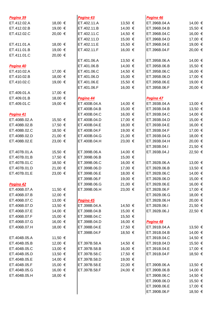| Pagina 39    |         | Pagina 43    |         | Pagina 46    |         |
|--------------|---------|--------------|---------|--------------|---------|
| ET.412.02.A  | 18,00 € | ET.402.11.A  | 13,50 € | ET.396B.04.A | 14,00 € |
| ET.412.02.B  | 19,00 € | ET.402.11.B  | 14,00 € | ET.396B.04.B | 15,50 € |
| ET.412.02.C  | 20,00 € | ET.402.11.C  | 14,50 € | ET.396B.04.C | 16,00 € |
|              |         | ET.402.11.D  | 15,00 € | ET.396B.04.D | 17,00 € |
| ET.411.01.A  | 18,00 € | ET.402.11.E  | 15,50 € | ET.396B.04.E | 19,00 € |
| ET.411.01.B  | 19,00 € | ET.402.11.F  | 16,00 € | ET.396B.04.F | 20,00 € |
| ET.411.01.C  | 20,00 € |              |         |              |         |
|              |         | ET.401.06.A  | 13,50 € | ET.395B.06.A | 14,00 € |
| Pagina 40    |         | ET.401.06.B  | 14,00 € | ET.395B.06.B | 15,50 € |
| ET.410.02.A  | 17,00 € | ET.401.06.C  | 14,50 € | ET.395B.06.C | 16,00 € |
| ET.410.02.B  | 18,00 € | ET.401.06.D  | 15,00 € | ET.395B.06.D | 17,00 € |
| ET.410.02.C  | 19,00 € | ET.401.06.E  | 15,50 € | ET.395B.06.E | 19,00 € |
|              |         | ET.401.06.F  | 16,00 € | ET.395B.06.F | 20,00 € |
| ET.409.01.A  | 17,00 € |              |         |              |         |
| ET.409.01.B  | 18,00 € | Pagina 44    |         | Pagina 47    |         |
| ET.409.01.C  | 19,00 € | ET.400B.04.A | 14,00 € | ET.393B.04.A | 13,00 € |
|              |         | ET.400B.04.B | 15,00 € | ET.393B.04.B | 13,50 € |
| Pagina 41    |         | ET.400B.04.C | 16,00 € | ET.393B.04.C | 14,00 € |
| ET.408B.02.A | 15,50 € | ET.400B.04.D | 17,00 € | ET.393B.04.D | 15,00 € |
| ET.408B.02.B | 17,50 € | ET.400B.04.E | 18,00 € | ET.393B.04.E | 16,00 € |
| ET.408B.02.C | 18,50 € | ET.400B.04.F | 19,00 € | ET.393B.04.F | 17,00 € |
| ET.408B.02.D | 21,00 € | ET.400B.04.G | 21,00 € | ET.393B.04.G | 18,00 € |
| ET.408B.02.E | 23,00 € | ET.400B.04.H | 23,00 € | ET.393B.04.H | 20,00 € |
|              |         |              |         | ET.393B.04.I | 21,50 € |
| ET.407B.01.A | 15,50 € | ET.399B.06.A | 14,00 € | ET.393B.04.J | 22,50 € |
| ET.407B.01.B | 17,50 € | ET.399B.06.B | 15,00 € |              |         |
| ET.407B.01.C | 18,50 € | ET.399B.06.C | 16,00 € | ET.392B.06.A | 13,00 € |
| ET.407B.01.D | 21,00 € | ET.399B.06.D | 17,00 € | ET.392B.06.B | 13,50 € |
| ET.407B.01.E | 23,00 € | ET.399B.06.E | 18,00 € | ET.392B.06.C | 14,00 € |
|              |         | ET.399B.06.F | 19,00 € | ET.392B.06.D | 15,00 € |
| Pagina 42    |         | ET.399B.06.G | 21,00 € | ET.392B.06.E | 16,00 € |
| ET.406B.07.A | 11,50 € | ET.399B.06.H | 23,00 € | ET.392B.06.F | 17,00 € |
| ET.406B.07.B | 12,00 € |              |         | ET.392B.06.G | 18,00 € |
| ET.406B.07.C | 13,00 € | Pagina 45    |         | ET.392B.06.H | 20,00 € |
| ET.406B.07.D | 13,50 € | ET.398B.04.A | 14,50 € | ET.392B.06.I | 21,50 € |
| ET.406B.07.E | 14,00 € | ET.398B.04.B | 15,00 € | ET.392B.06.J | 22,50 € |
| ET.406B.07.F | 15,00 € | ET.398B.04.C | 15,50 € |              |         |
| ET.406B.07.G | 16,00 € | ET.398B.04.D | 16,00 € | Pagina 48    |         |
| ET.406B.07.H | 18,00 € | ET.398B.04.E | 17,50 € | ET.391B.04.A | 13,50 € |
|              |         | ET.398B.04.F | 18,50 € | ET.391B.04.B | 14,00 € |
| ET.404B.05.A | 11,50 € |              |         | ET.391B.04.C | 14,50 € |
| ET.404B.05.B | 12,00 € | ET.397B.58.A | 14,50 € | ET.391B.04.D | 15,50 € |
| ET.404B.05.C | 13,00 € |              | 16,00 € | ET.391B.04.E | 17,00 € |
|              |         | ET.397B.58.B |         |              |         |
| ET.404B.05.D | 13,50 € | ET.397B.58.C | 17,50 € | ET.391B.04.F | 18,50 € |
| ET.404B.05.E | 14,00 € | ET.397B.58.D | 19,00 € |              |         |
| ET.404B.05.F | 15,00 € | ET.397B.58.E | 22,00 € | ET.390B.06.A | 13,50 € |
| ET.404B.05.G | 16,00 € | ET.397B.58.F | 24,00 € | ET.390B.06.B | 14,00 € |
| ET.404B.05.H | 18,00 € |              |         | ET.390B.06.C | 14,50 € |
|              |         |              |         | ET.390B.06.D | 15,50 € |
|              |         |              |         | ET.390B.06.E | 17,00 € |
|              |         |              |         | ET.390B.06.F | 18,50 € |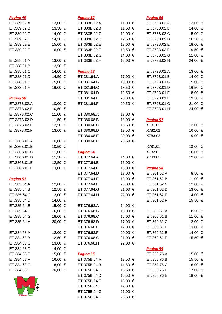| Pagina 49               |         | Pagina 52        |         | Pagina 56    |            |
|-------------------------|---------|------------------|---------|--------------|------------|
| ET.389.02.A             | 13,00 € | ET.383B.02.A     | 11,00 € | ET.373B.02.A | 13,00 €    |
| ET.389.02.B             | 13,50 € | ET.383B.02.B     | 11,50 € | ET.373B.02.B | 14,00 €    |
| ET.389.02.C             | 14,00 € | ET.383B.02.C     | 12,00 € | ET.373B.02.C | 15,00 €    |
| ET.389.02.D             | 14,50 € | ET.383B.02.D     | 12,50 € | ET.373B.02.D | 16,50 €    |
| ET.389.02.E             | 15,00 € | ET.383B.02.E     | 13,00 € | ET.373B.02.E | 18,00 €    |
| ET.389.02.F             | 16,00 € | ET.383B.02.F     | 13,50 € | ET.373B.02.F | 19,50 €    |
|                         |         | ET.383B.02.G     | 14,00 € | ET.373B.02.G | 21,00 €    |
| ET.388.01.A             | 13,00 € | ET.383B.02.H     | 15,00 € | ET.373B.02.H | 24,00 €    |
| ET.388.01.B             | 13,50 € |                  |         |              |            |
| ET.388.01.C             | 14,00 € | Pagina 53        |         | ET.372B.01.A | 13,00 €    |
| ET.388.01.D             | 14,50 € | ET.381.64.A      | 17,00 € | ET.372B.01.B | 14,00 €    |
| ET.388.01.E             | 15,00 € | ET.381.64.B      | 18,00 € | ET.372B.01.C | 15,00 €    |
| ET.388.01.F             | 16,00 € | ET.381.64.C      | 18,50 € | ET.372B.01.D | 16,50 €    |
|                         |         | ET.381.64.D      | 19,50 € | ET.372B.01.E | 18,00 €    |
| Pagina 50               |         | ET.381.64.E      | 20,00 € | ET.372B.01.F | 19,50 €    |
| ET.387B.02.A            | 10,00 € | ET.381.64.F      | 20,50 € | ET.372B.01.G | 21,00 €    |
| ET.387B.02.B            | 10,50 € |                  |         | ET.372B.01.H | 24,00 €    |
| ET.387B.02.C            | 11,00 € | ET.380.68.A      | 17,00 € |              |            |
| ET.387B.02.D            | 11,50 € | ET.380.68.B      | 18,00 € | Pagina 57    |            |
| ET.387B.02.E            | 12,50 € | ET.380.68.C      | 18,50 € | X781.02      | 13,00 €    |
| ET.387B.02.F            | 13,00 € | ET.380.68.D      | 19,50 € | X782.02      | 16,00 €    |
|                         |         | ET.380.68.E      | 20,00 € | X783.02      | 19,00 €    |
| ET.386B.01.A            | 10,00 € | ET.380.68.F      | 20,50 € |              |            |
| ET.386B.01.B            | 10,50 € |                  |         | X781.01      | 13,00 €    |
| ET.386B.01.C            | 11,00 € | <u>Pagina 54</u> |         | X782.01      | 16,00 €    |
| ET.386B.01.D            | 11,50 € | ET.377.64.A      | 14,00 € | X783.01      | 19,00 €    |
| ET.386B.01.E            | 12,50 € | ET.377.64.B      | 15,00 € |              |            |
| ET.386B.01.F            | 13,00 € | ET.377.64.C      | 16,00 € | Pagina 58    |            |
|                         |         | ET.377.64.D      | 17,00 € | ET.361.62.A  | $8,50 \in$ |
| Pagina 51               |         | ET.377.64.E      | 19,00 € | ET.361.62.B  | 11,00 €    |
| ET.385.64.A             | 12,00 € | ET.377.64.F      | 20,00 € | ET.361.62.C  | 12,00 €    |
| ET.385.64.B             | 12,50 € | ET.377.64.G      | 21,00 € | ET.361.62.D  | 13,00 €    |
| ET.385.64.C             | 13,00 € | ET.377.64.H      | 22,00 € | ET.361.62.E  | 14,00 €    |
| ET.385.64.D             | 14,00 € |                  |         | ET.361.62.F  | 15,50 €    |
| ET.385.64.E             | 15,00 € | ET.376.68.A      | 14,00 € |              |            |
| ET.385.64.F             | 16,00 € | ET.376.68.B      | 15,00 € | ET.360.61.A  | $8,50 \in$ |
| ET.385.64.G             | 18,00 € | ET.376.68.C      | 16,00 € | ET.360.61.B  | 11,00 €    |
| ET.385.64.H             | 20,00 € | ET.376.68.D      | 17,00 € | ET.360.61.C  | 12,00 €    |
|                         |         | ET.376.68.E      | 19,00 € | ET.360.61.D  | 13,00 €    |
| ET.384.68.A             | 12,00 € | ET.376.68.F      | 20,00 € | ET.360.61.E  | 14,00 €    |
| ET.384.68.B             | 12,50 € | ET.376.68.G      | 21,00 € | ET.360.61.F  | 15,50 €    |
| ET.384.68.C             | 13,00 € | ET.376.68.H      | 22,00 € |              |            |
| ET.384.68.D             | 14,00 € |                  |         | Pagina 59    |            |
| ET.384.68.E             | 15,00 € | <u>Pagina 55</u> |         | ET.358.76.A  | 15,00 €    |
| ET.384.68.F             | 16,00 € | ET.375B.04.A     | 13,50 € | ET.358.76.B  | 15,50 €    |
| ET.384.68.G             | 18,00 € | ET.375B.04.B     | 14,50 € | ET.358.76.C  | 16,00 €    |
| ET.384.68.H             | 20,00 € | ET.375B.04.C     | 15,50 € | ET.358.76.D  | 17,00 €    |
|                         |         | ET.375B.04.D     | 16,50 € | ET.358.76.E  | 18,00 €    |
|                         |         | ET.375B.04.E     | 18,00 € |              |            |
|                         |         | ET.375B.04.F     | 19,00 € |              |            |
|                         |         | ET.375B.04.G     | 21,00 € |              |            |
| <b>NM Soccer Events</b> |         | ET.375B.04.H     | 23,50 € |              |            |
|                         |         |                  |         |              |            |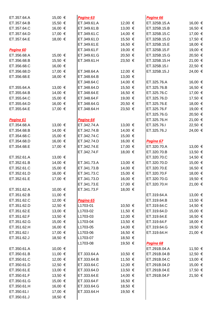| ET.357.64.A                | 15,00 €            | Pagina 63                  |                    | Pagina 66    |         |
|----------------------------|--------------------|----------------------------|--------------------|--------------|---------|
| ET.357.64.B                | 15,50 €            | ET.349.61.A                | 12,00 €            | ET.325B.15.A | 16,00 € |
| ET.357.64.C                | 16,00 €            | ET.349.61.B                | 13,00 €            | ET.325B.15.B | 16,50 € |
| ET.357.64.D                | 17,00 €            | ET.349.61.C                | 14,00 €            | ET.325B.15.C | 17,00 € |
| ET.357.64.E                | 18,00 €            | ET.349.61.D                | 15,50 €            | ET.325B.15.D | 17,50 € |
|                            |                    | ET.349.61.E                | 16,50 €            | ET.325B.15.E | 18,00 € |
| Pagina 60                  |                    | ET.349.61.F                | 19,00 €            | ET.325B.15.F | 19,00 € |
| ET.356.68.A                | 15,00 €            | ET.349.61.G                | 20,50 €            | ET.325B.15.G | 20,50 € |
| ET.356.68.B                | 15,50 €            | ET.349.61.H                | 23,50 €            | ET.325B.15.H | 21,00 € |
| ET.356.68.C                | 16,00 €            |                            |                    | ET.325B.15.I | 22,50 € |
| ET.356.68.D                | 17,00 €            | ET.348.64.A                | 12,00 €            | ET.325B.15.J | 24,00 € |
| ET.356.68.E                | 18,00 €            | ET.348.64.B                | 13,00 €            |              |         |
|                            |                    | ET.348.64.C                | 14,00 €            | ET.325.76.A  | 16,00 € |
| ET.355.64.A                | 13,00 €            | ET.348.64.D                | 15,50 €            | ET.325.76.B  | 16,50 € |
| ET.355.64.B                | 14,00 €            | ET.348.64.E                | 16,50 €            | ET.325.76.C  | 17,00 € |
| ET.355.64.C                | 15,00 €            | ET.348.64.F                | 19,00 €            | ET.325.76.D  | 17,50 € |
| ET.355.64.D                | 16,00 €            | ET.348.64.G                | 20,50 €            | ET.325.76.E  | 18,00 € |
| ET.355.64.E                | 17,00 €            | ET.348.64.H                | 23,50 €            | ET.325.76.F  | 19,00 € |
|                            |                    |                            |                    | ET.325.76.G  | 20,50 € |
| Pagina 61                  |                    | <u>Pagina 64</u>           |                    | ET.325.76.H  | 21,00 € |
| ET.354.68.A                | 13,00 €            | ET.342.74.A                | 13,00 €            | ET.325.76.I  | 22,50 € |
| ET.354.68.B                | 14,00 €            | ET.342.74.B                | 14,00 €            | ET.325.76.J  | 24,00 € |
| ET.354.68.C                | 15,00 €            | ET.342.74.C                | 15,00 €            |              |         |
| ET.354.68.D                | 16,00 €            | ET.342.74.D                | 16,00 €            | Pagina 67    |         |
| ET.354.68.E                | 17,00 €            | ET.342.74.E                | 17,00 €            | ET.320.70.A  | 13,00 € |
|                            |                    | ET.342.74.F                | 18,00 €            | ET.320.70.B  | 13,50 € |
| ET.352.61.A                | 13,00 €            |                            |                    | ET.320.70.C  | 14,50 € |
| ET.352.61.B                | 14,00 €            | ET.341.73.A                | 13,00 €            | ET.320.70.D  | 15,00 € |
| ET.352.61.C                | 15,00 €            | ET.341.73.B                | 14,00 €            | ET.320.70.E  | 16,50 € |
| ET.352.61.D                | 16,00 €            | ET.341.73.C                | 15,00 €            | ET.320.70.F  | 18,00 € |
| ET.352.61.E                | 17,00 €            | ET.341.73.D                | 16,00 €            | ET.320.70.G  | 19,50 € |
|                            |                    | ET.341.73.E                | 17,00 €            | ET.320.70.H  | 21,00 € |
| ET.351.62.A                | 10,00 €            | ET.341.73.F                | 18,00 €            |              |         |
| ET.351.62.B                | 11,00 €            |                            |                    | ET.319.64.A  | 13,00 € |
| ET.351.62.C                | 12,00 €            | <u>Pagina 65</u>           |                    | ET.319.64.B  | 13,50 € |
| ET.351.62.D                | 12,50 €            | L1703-01                   | 10,50 €            | ET.319.64.C  | 14,50 € |
| ET.351.62.E                | 13,00 €            | L1703-02                   | 11,50 €            | ET.319.64.D  | 15,00 € |
| ET.351.62.F                | 13,50 €            | L1703-03                   | 12,00 €            | ET.319.64.E  | 16,50 € |
| ET.351.62.G                | 15,00 €            | L1703-04                   | 13,50 €            | ET.319.64.F  | 18,00 € |
| ET.351.62.H                | 16,00 €            | L1703-05                   | 14,00 €            | ET.319.64.G  | 19,50 € |
| ET.351.62.I                | 17,00 €            | L1703-06                   | 16,50 €            | ET.319.64.H  | 21,00 € |
| ET.351.62.J                | 18,50 €            | L1703-07                   | 18,50 €            |              |         |
|                            |                    | L1703-08                   | 19,50 €            | Pagina 68    |         |
| ET.350.61.A                | 10,00 €            |                            |                    | ET.291B.04.A | 11,50 € |
| ET.350.61.B                | 11,00 €            | ET.333.64.A                | 10,50 €            | ET.291B.04.B | 12,50 € |
| ET.350.61.C                | 12,00 €            | ET.333.64.B                | 11,50 €            | ET.291B.04.C | 13,00 € |
| ET.350.61.D                | 12,50 €            | ET.333.64.C                | 12,00 €            | ET.291B.04.D | 15,00 € |
| ET.350.61.E                | 13,00 €            | ET.333.64.D                | 13,50 €            | ET.291B.04.E | 17,50 € |
| ET.350.61.F                | 13,50 €            | ET.333.64.E                | 14,00 €            | ET.291B.04.F | 21,50 € |
| ET.350.61.G                | 15,00 €            | ET.333.64.F                | 16,50 €            |              |         |
| ET.350.61.H<br>ET.350.61.I | 16,00 €<br>17,00 € | ET.333.64.G<br>ET.333.64.H | 18,50 €<br>19,50 € |              |         |
| ET.350.61.J                | 18,50 €            |                            |                    |              |         |
|                            |                    |                            |                    |              |         |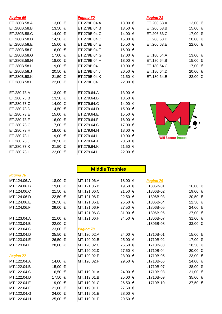| Pagina 69    |         | Pagina 70    |         | Pagina 71               |         |
|--------------|---------|--------------|---------|-------------------------|---------|
| ET.280B.58.A | 13,00 € | ET.279B.04.A | 13,00 € | ET.206.63.A             | 13,00 € |
| ET.280B.58.B | 13,50 € | ET.279B.04.B | 13,50 € | ET.206.63.B             | 15,00 € |
| ET.280B.58.C | 14,00 € | ET.279B.04.C | 14,00 € | ET.206.63.C             | 17,00 € |
| ET.280B.58.D | 14,50 € | ET.279B.04.D | 15,00 € | ET.206.63.D             | 20,00 € |
| ET.280B.58.E | 15,00 € | ET.279B.04.E | 15,50 € | ET.206.63.E             | 22,00 € |
| ET.280B.58.F | 16,00 € | ET.279B.04.F | 16,00 € |                         |         |
| ET.280B.58.G | 17,00 € | ET.279B.04.G | 17,00 € | ET.180.64.A             | 13,00 € |
| ET.280B.58.H | 18,00 € | ET.279B.04.H | 18,00 € | ET.180.64.B             | 15,00 € |
| ET.280B.58.I | 19,00 € | ET.279B.04.I | 19,00 € | ET.180.64.C             | 17,00 € |
| ET.280B.58.J | 20,50 € | ET.279B.04.J | 20,50 € | ET.180.64.D             | 20,00 € |
| ET.280B.58.K | 21,50 € | ET.279B.04.K | 21,50 € | ET.180.64.E             | 22,00 € |
| ET.280B.58.L | 22,00 € | ET.279B.04.L | 22,00 € |                         |         |
|              |         |              |         |                         |         |
| ET.280.73.A  | 13,00 € | ET.279.64.A  | 13,00 € |                         |         |
| ET.280.73.B  | 13,50 € | ET.279.64.B  | 13,50 € |                         |         |
| ET.280.73.C  | 14,00 € | ET.279.64.C  | 14,00 € |                         |         |
| ET.280.73.D  | 14,50 € | ET.279.64.D  | 15,00 € |                         |         |
| ET.280.73.E  | 15,00 € | ET.279.64.E  | 15,50 € |                         |         |
| ET.280.73.F  | 16,00 € | ET.279.64.F  | 16,00 € |                         |         |
| ET.280.73.G  | 17,00 € | ET.279.64.G  | 17,00 € |                         |         |
| ET.280.73.H  | 18,00 € | ET.279.64.H  | 18,00 € |                         |         |
| ET.280.73.I  | 19,00 € | ET.279.64.I  | 19,00 € | <b>WM Soccer Events</b> |         |
| ET.280.73.J  | 20,50 € | ET.279.64.J  | 20,50 € |                         |         |
| ET.280.73.K  | 21,50 € | ET.279.64.K  | 21,50 € |                         |         |
| ET.280.73.L  | 22,00 € | ET.279.64.L  | 22,00 € |                         |         |

## **Middle Trophies**

| Pagina 76   |         |             |         |           |         |
|-------------|---------|-------------|---------|-----------|---------|
| MT.124.06.A | 18,00 € | MT.121.06.A | 18,00 € | Pagina 79 |         |
| MT.124.06.B | 19,00 € | MT.121.06.B | 19,50 € | L1806B-01 | 16,00 € |
| MT.124.06.C | 21,50 € | MT.121.06.C | 21,50 € | L1806B-02 | 19,00 € |
| MT.124.06.D | 22,50 € | MT.121.06.D | 22,50 € | L1806B-03 | 20,50 € |
| MT.124.06.E | 26,50 € | MT.121.06.E | 26,50 € | L1806B-04 | 22,50 € |
| MT.124.06.F | 29,00 € | MT.121.06.F | 27,50 € | L1806B-05 | 24,00 € |
|             |         | MT.121.06.G | 31,00 € | L1806B-06 | 27,00 € |
| MT.123.04.A | 21,00 € | MT.121.06.H | 34,50 € | L1806B-07 | 31,00 € |
| MT.123.04.B | 22,00 € |             |         | L1806B-08 | 33,00 € |
| MT.123.04.C | 23,00 € | Pagina 78   |         |           |         |
| MT.123.04.D | 25,50 € | MT.120.02.A | 24,00 € | L1710B-01 | 15,00 € |
| MT.123.04.E | 26,50 € | MT.120.02.B | 25,00 € | L1710B-02 | 17,00 € |
| MT.123.04.F | 28,00 € | MT.120.02.C | 26,50 € | L1710B-03 | 18,50 € |
|             |         | MT.120.02.D | 27,50 € | L1710B-04 | 20,00 € |
| Pagina 77   |         | MT.120.02.E | 28,00 € | L1710B-05 | 23,00 € |
| MT.122.04.A | 14,00 € | MT.120.02.F | 29,50 € | L1710B-06 | 24,00 € |
| MT.122.04.B | 15,00 € |             |         | L1710B-07 | 28,00 € |
| MT.122.04.C | 16,50 € | MT.119.01.A | 24,00 € | L1710B-08 | 31,00 € |
| MT.122.04.D | 17,50 € | MT.119.01.B | 25,00 € | L1710B-09 | 35,00 € |
| MT.122.04.E | 19,00 € | MT.119.01.C | 26,50 € | L1710B-10 | 37,50 € |
| MT.122.04.F | 21,00 € | MT.119.01.D | 27,50 € |           |         |
| MT.122.04.G | 24,00 € | MT.119.01.E | 28,00 € |           |         |
| MT.122.04.H | 25,00 € | MT.119.01.F | 29,50 € |           |         |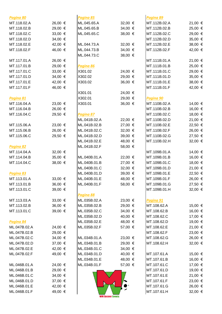| Pagina 80    |         | Pagina 85        |         | Pagina 89    |         |
|--------------|---------|------------------|---------|--------------|---------|
| MT.118.02.A  | 26,00 € | ML.045.65.A      | 32,00 € | MT.112B.02.A | 21,00 € |
| MT.118.02.B  | 29,00 € | ML.045.65.B      | 34,00 € | MT.112B.02.B | 25,00 € |
| MT.118.02.C  | 33,00 € | ML.045.65.C      | 38,00 € | MT.112B.02.C | 29,00 € |
| MT.118.02.D  | 34,00 € |                  |         | MT.112B.02.D | 35,00 € |
| MT.118.02.E  | 42,00 € | ML.044.73.A      | 32,00 € | MT.112B.02.E | 38,00 € |
| MT.118.02.F  | 46,00 € | ML.044.73.B      | 34,00 € | MT.112B.02.F | 42,00 € |
|              |         | ML.044.73.C      | 38,00 € |              |         |
| MT.117.01.A  | 26,00 € |                  |         | MT.111B.01.A | 21,00 € |
| MT.117.01.B  | 29,00 € | Pagina 86        |         | MT.111B.01.B | 25,00 € |
| MT.117.01.C  | 33,00 € | X301.02          | 24,00 € | MT.111B.01.C | 29,00 € |
| MT.117.01.D  | 34,00 € | X302.02          | 29,00 € | MT.111B.01.D | 35,00 € |
| MT.117.01.E  | 42,00 € | X303.02          | 36,00 € | MT.111B.01.E | 38,00 € |
| MT.117.01.F  | 46,00 € |                  |         | MT.111B.01.F | 42,00 € |
|              |         | X301.01          | 24,00 € |              |         |
| Pagina 81    |         | X302.01          | 29,00 € | Pagina 90    |         |
| MT.116.04.A  | 23,00 € | X303.01          | 36,00 € | MT.110B.02.A | 14,00 € |
| MT.116.04.B  | 26,00 € |                  |         | MT.110B.02.B | 16,00 € |
| MT.116.04.C  | 29,50 € | Pagina 87        |         | MT.110B.02.C | 18,00 € |
|              |         | ML.041B.02.A     | 22,00 € | MT.110B.02.D | 21,00 € |
| MT.115.06.A  | 23,00 € | ML.041B.02.B     | 27,00 € | MT.110B.02.E | 22,50 € |
| MT.115.06.B  | 26,00 € | ML.041B.02.C     | 32,00 € | MT.110B.02.F | 26,00 € |
| MT.115.06.C  | 29,50 € | ML.041B.02.D     | 39,00 € | MT.110B.02.G | 27,50 € |
|              |         | ML.041B.02.E     | 48,00 € | MT.110B.02.H | 32,00 € |
| Pagina 82    |         | ML.041B.02.F     | 58,00 € |              |         |
| MT.114.04.A  | 32,00 € |                  |         | MT.109B.01.A | 14,00 € |
| MT.114.04.B  | 35,00 € | ML.040B.01.A     | 22,00 € | MT.109B.01.B | 16,00 € |
| MT.114.04.C  | 38,00 € | ML.040B.01.B     | 27,00 € | MT.109B.01.C | 18,00 € |
|              |         | ML.040B.01.C     | 32,00 € | MT.109B.01.D | 21,00 € |
| Pagina 83    |         | ML.040B.01.D     | 39,00 € | MT.109B.01.E | 22,50 € |
| MT.113.01.A  | 33,00 € | ML.040B.01.E     | 48,00 € | MT.109B.01.F | 26,00 € |
| MT.113.01.B  | 36,00 € | ML.040B.01.F     | 58,00 € | MT.109B.01.G | 27,50 € |
| MT.113.01.C  | 39,00 € |                  |         | MT.109B.01.H | 32,00 € |
|              |         | Pagina 88        |         |              |         |
| MT.113.03.A  | 33,00 € | ML.035B.02.A     | 23,00 € | Pagina 91    |         |
| MT.113.02.B  | 36,00 € | ML.035B.02.B     | 29,00 € | MT.108.62.A  | 15,00 € |
| MT.113.01.C  | 39,00 € | ML.035B.02.C     | 34,00 € | MT.108.62.B  | 16,00 € |
|              |         | ML.035B.02.D     | 40,00 € | MT.108.62.C  | 17,00 € |
| Pagina 84    |         | ML.035B.02.E     | 48,00 € | MT.108.62.D  | 19,00 € |
| ML.047B.02.A | 24,00 € | ML.035B.02.F     | 57,00 € | MT.108.62.E  | 21,00 € |
| ML.047B.02.B | 29,00 € |                  |         | MT.108.62.F  | 23,00 € |
| ML.047B.02.C | 34,00 € | ML.034B.01.A     | 23,00 € | MT.108.62.G  | 26,00 € |
| ML.047B.02.D | 37,00 € | ML.034B.01.B     | 29,00 € | MT.108.62.H  | 32,00 € |
| ML.047B.02.E | 42,00 € | ML.034B.01.C     | 34,00 € |              |         |
| ML.047B.02.F | 49,00 € | ML.034B.01.D     | 40,00 € | MT.107.61.A  | 15,00 € |
|              |         | ML.034B.01.E     | 48,00 € | MT.107.61.B  | 16,00 € |
| ML.046B.01.A | 24,00 € | ML.034B.01.F     | 57,00 € | MT.107.61.C  | 17,00 € |
| ML.046B.01.B | 29,00 € |                  |         | MT.107.61.D  | 19,00 € |
| ML.046B.01.C | 34,00 € |                  |         | MT.107.61.E  | 21,00 € |
| ML.046B.01.D | 37,00 € |                  |         | MT.107.61.F  | 23,00 € |
| ML.046B.01.E | 42,00 € |                  |         | MT.107.61.G  | 26,00 € |
| ML.046B.01.F | 49,00 € |                  |         | MT.107.61.H  | 32,00 € |
|              |         | WM Soccer Events |         |              |         |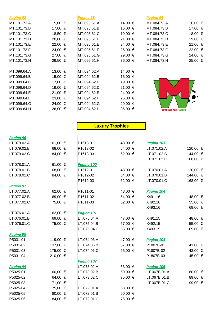| Pagina 92   |         | Pagina 93   |             | Pagina 94               |         |
|-------------|---------|-------------|-------------|-------------------------|---------|
| MT.101.73.A | 15,00 € | MT.095.61.A | 14,00 €     | MT.084.73.A             | 16,00 € |
| MT.101.73.B | 17,00 € | MT.095.61.B | 16,00 €     | MT.084.73.B             | 17,00 € |
| MT.101.73.C | 18,50 € | MT.095.61.C | 19,00 €     | MT.084.73.C             | 18,00 € |
| MT.101.73.D | 20,00 € | MT.095.61.D | 21,00 €     | MT.084.73.D             | 19,00 € |
| MT.101.73.E | 22,00 € | MT.095.61.E | 24,00 €     | MT.084.73.E             | 21,00 € |
| MT.101.73.F | 24,00 € | MT.095.61.F | 26,00 €     | MT.084.73.F             | 22,00 € |
| MT.101.73.G | 27,00 € | MT.095.61.G | 29,00 €     | MT.084.73.G             | 24,00 € |
| MT.101.73.H | 29,50 € | MT.095.61.H | $36,00 \in$ | MT.084.73.H             | 25,00 € |
|             |         |             |             |                         |         |
| MT.099.64.A | 13,00 € | MT.094.62.A | 14,00 €     |                         |         |
| MT.099.64.B | 15,00 € | MT.094.62.B | 16,00 €     |                         |         |
| MT.099.64.C | 17,00 € | MT.094.62.C | 19,00 €     |                         |         |
| MT.099.64.D | 19,00 € | MT.094.62.D | 21,00 €     |                         |         |
| MT.099.64.E | 21,00 € | MT.094.62.E | 24,00 €     |                         |         |
| MT.099.64.F | 23,00 € | MT.094.62.F | 26,00 €     |                         |         |
| MT.099.64.G | 24,00 € | MT.094.62.G | 29,00 €     |                         |         |
| MT.099.64.H | 26,00 € | MT.094.62.H | 36,00 €     | <b>WM Soccer Events</b> |         |

## **Luxury Trophies**

#### *Pagina 96*

| LT.079.02.A | 61,00 €  | P1613-01    | 48,00 €          | Pagina 103   |          |
|-------------|----------|-------------|------------------|--------------|----------|
| LT.079.02.B | 68,00 €  | P1613-02    | 54,00 €          | LT.071.02.A  | 120,00 € |
| LT.079.02.C | 84,00 €  | P1613-03    | 62,00 €          | LT.071.02.B  | 144,00 € |
|             |          |             |                  | LT.071.02.C  | 168,00 € |
| LT.078.01.A | 61,00 €  | Pagina 100  |                  |              |          |
| LT.078.01.B | 68,00 €  | P1612-01    | 48,00 €          | LT.070.01.A  | 120,00 € |
| LT.078.01.C | 84,00 €  | P1612-02    | 54,00 €          | LT.070.01.B  | 144,00 € |
|             |          | P1612-03    | 62,00 €          | LT.070.01.C  | 168,00 € |
| Pagina 97   |          |             |                  |              |          |
| LT.077.02.A | 62,00 €  | P1611-01    | 48,00 €          | Pagina 104   |          |
| LT.077.02.B | 69,00 €  | P1611-02    | 54,00 €          | X491.16      | 48,00 €  |
| LT.077.02.C | 75,00 €  | P1611-03    | 62,00 $\in$      | X492.16      | 55,00 €  |
|             |          |             |                  | X493.16      | 69,00 €  |
| LT.076.01.A | 62,00 €  | Pagina 101  |                  |              |          |
| LT.076.01.B | 69,00 €  | LT.075.04.A | 47,00 €          | X491.15      | 48,00 €  |
| LT.076.01.C | 75,00 €  | LT.075.04.B | 57,00 €          | X492.15      | 55,00 €  |
|             |          | LT.075.04.C | 65,00 $\in$      | X493.15      | 69,00 €  |
| Pagina 98   |          |             |                  |              |          |
| P5031-01    | 119,00 € | LT.074.06.A | 47,00 €          | Pagina 105   |          |
| P5031-02    | 137,00 € | LT.074.06.B | 57,00 €          | P1807B-01    | 41,00 €  |
| P5031-03    | 175,00 € | LT.074.06.C | 65,00 €          | P1807B-02    | 43,00 €  |
| P5031-04    | 210,00 € |             |                  | P1807B-03    | 45,00 €  |
|             |          | Pagina 102  |                  |              |          |
| Pagina 99   |          | LT.073.02.A | 53,00 €          | Pagina 106   |          |
| P5025-01    | 60,00 €  | LT.073.02.B | 60,00 $\in$      | LT.067B.01.A | 80,00 €  |
| P5025-02    | 64,00 €  | LT.073.02.C | 75,00 €          | LT.067B.01.B | 89,00 €  |
| P5025-03    | 71,00 €  |             |                  | LT.067B.01.C | 99,00 €  |
| P5025-04    | 75,00 €  | LT.072.01.A | 53,00 €          |              |          |
| P5025-05    | 80,00 €  | LT.072.01.B | 60,00 $\epsilon$ |              |          |
| P5025-06    | 84,00 €  | LT.072.01.C | 75,00 €          |              |          |
|             |          |             |                  |              |          |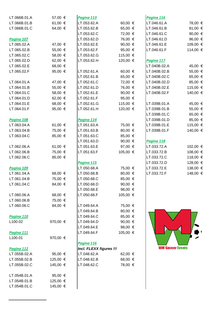| LT.066B.01.A | 57,00 €          | Pagina 113              |          | Pagina 116              |          |
|--------------|------------------|-------------------------|----------|-------------------------|----------|
| LT.066B.01.B | 61,00 $\epsilon$ | LT.053.62.A             | 60,00 €  | LT.046.61.A             | 78,00 €  |
| LT.066B.01.C | 64,00 €          | LT.053.62.B             | 65,00 €  | LT.046.61.B             | 81,00 €  |
|              |                  | LT.053.62.C             | 72,00 €  | LT.046.61.C             | 90,00 €  |
| Pagina 107   |                  | LT.053.62.D             | 76,00 €  | LT.046.61.D             | 96,00 €  |
| LT.065.02.A  | 47,00 €          | LT.053.62.E             | 90,00 €  | LT.046.61.E             | 109,00 € |
| LT.065.02.B  | 55,00 €          | LT.053.62.F             | 95,00 €  | LT.046.61.F             | 114,00 € |
| LT.065.02.C  | 58,00 €          | LT.053.62.G             | 115,00 € |                         |          |
| LT.065.02.D  | 62,00 €          | LT.053.62.H             | 120,00 € | Pagina 117              |          |
| LT.065.02.E  | 68,00 €          |                         |          | LT.040B.02.A            | 45,00 €  |
| LT.065.02.F  | 95,00 €          | LT.052.61.A             | 60,00 €  | LT.040B.02.B            | 55,00 €  |
|              |                  | LT.052.61.B             | 65,00 €  | LT.040B.02.C            | 65,00 €  |
| LT.064.01.A  | 47,00 €          | LT.052.61.C             | 72,00 €  | LT.040B.02.D            | 85,00 €  |
| LT.064.01.B  | 55,00 €          | LT.052.61.D             | 76,00 €  | LT.040B.02.E            | 115,00 € |
| LT.064.01.C  | 58,00 €          | LT.052.61.E             | 90,00 €  | LT.040B.02.F            | 140,00 € |
| LT.064.01.D  | 62,00 €          | LT.052.61.F             | 95,00 €  |                         |          |
| LT.064.01.E  | 68,00 €          | LT.052.61.G             | 115,00 € | LT.039B.01.A            | 45,00 €  |
| LT.064.01.F  | 95,00 €          | LT.052.61.H             | 120,00 € | LT.039B.01.B            | 55,00 €  |
|              |                  |                         |          | LT.039B.01.C            | 65,00 €  |
| Pagina 108   |                  | Pagina 114              |          | LT.039B.01.D            | 85,00 €  |
| LT.063.04.A  | 61,00 €          | LT.051.63.A             | 75,00 €  | LT.039B.01.E            | 115,00 € |
| LT.063.04.B  | 75,00 €          | LT.051.63.B             | 80,00 €  | LT.039B.01.F            | 140,00 € |
| LT.063.04.C  | 85,00 €          | LT.051.63.C             | 85,00 €  |                         |          |
|              |                  | LT.051.63.D             | 90,00 €  | Pagina 118              |          |
| LT.062.06.A  | 61,00 €          | LT.051.63.E             | 97,00 €  | LT.033.72.A             | 102,00 € |
| LT.062.06.B  | 75,00 €          | LT.051.63.F             | 105,00 € | LT.033.72.B             | 108,00 € |
| LT.062.06.C  | 85,00 €          |                         |          | LT.033.72.C             | 118,00 € |
|              |                  | Pagina 115              |          | LT.033.72.D             | 128,00 € |
| Pagina 109   |                  | LT.050.68.A             | 75,00 €  | LT.033.72.E             | 138,00 € |
| LT.061.04.A  | 68,00 €          | LT.050.68.B             | 80,00 €  | LT.033.72.F             | 148,00 € |
| LT.061.04.B  | 75,00 €          | LT.050.68.C             | 85,00 €  |                         |          |
| LT.061.04.C  | 84,00 €          | LT.050.68.D             | 90,00 €  |                         |          |
|              |                  | LT.050.68.E             | 98,00 €  |                         |          |
| LT.060.06.A  | 68,00 €          | LT.050.68.F             | 105,00 € |                         |          |
| LT.060.06.B  | 75,00 €          |                         |          |                         |          |
| LT.060.06.C  | 84,00 €          | LT.049.64.A             | 75,00 €  |                         |          |
|              |                  | LT.049.64.B             | 80,00 €  |                         |          |
| Pagina 110   |                  | LT.049.64.C             | 85,00 €  |                         |          |
| L100.02      | 970,00 €         | LT.049.64.D             | 90,00 €  |                         |          |
|              |                  | LT.049.64.E             | 98,00 €  |                         |          |
| Pagina 111   |                  | LT.049.64.F             | 105,00 € |                         |          |
| L100.01      | 970,00 €         |                         |          |                         |          |
|              |                  | Pagina 116              |          |                         |          |
| Pagina 112   |                  | Incl. FLEXX figures !!! |          | <b>WM Soccer Events</b> |          |
| LT.055B.02.A | 95,00 €          | LT.048.62.A             | 62,00 €  |                         |          |
| LT.055B.02.B | 125,00 €         | LT.048.62.B             | 68,00 €  |                         |          |
| LT.055B.02.C | 145,00 €         | LT.048.62.C             | 78,00 €  |                         |          |
| LT.054B.01.A | 95,00 €          |                         |          |                         |          |
| LT.054B.01.B | 125,00 €         |                         |          |                         |          |
| LT.054B.01.C | 145,00 €         |                         |          |                         |          |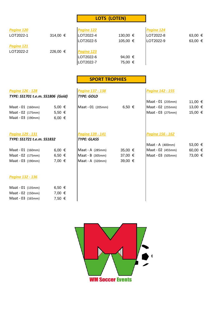#### **LOTS (LOTEN)**

| Pagina 120 |          | Pagina 122 |             | Pagina 124 |         |
|------------|----------|------------|-------------|------------|---------|
| LOT2022-1  | 314,00 € | LOT2022-4  | 130,00 €    | LOT2022-8  | 63,00 € |
|            |          | LOT2022-5  | 105,00 €    | LOT2022-9  | 63,00 € |
| Pagina 121 |          |            |             |            |         |
| LOT2022-2  | 226,00 € | Pagina 123 |             |            |         |
|            |          | LOT2022-6  | 94,00 $\in$ |            |         |
|            |          | LOT2022-7  | 75,00 €     |            |         |

#### **SPORT TROPHIES**

## *Pagina 126 - 128 Pagina 137 - 138 Pagina 142 - 155*

| TYPE: SS1701 t.e.m. SS1806 (Gold) |            | <b>TYPE: GOLD</b>  |             |                    |         |
|-----------------------------------|------------|--------------------|-------------|--------------------|---------|
|                                   |            |                    |             | Maat - 01 (235mm)  | 11,00 € |
| Maat - 01 (160mm)                 | $5,00 \in$ | Maat - 01 (205mm)  | 6,50 €      | Maat - 02 (255mm)  | 13,00 € |
| Maat - 02 (175mm)                 | $5,50 \in$ |                    |             | Maat - 03 (275mm)  | 15,00 € |
| Maat - 03 (190mm)                 | 6,00 €     |                    |             |                    |         |
| Pagina 129 - 131                  |            | Pagina 139 - 141   |             | Pagina 156 - 162   |         |
| TYPE: SS1721 t.e.m. SS1832        |            | <b>TYPE: GLASS</b> |             |                    |         |
|                                   |            |                    |             | Maat - A $(400mm)$ | 53,00 € |
| Maat - 01 (160mm)                 | 6,00 €     | Maat - A (285mm)   | $35,00 \in$ | Maat - 02 (455mm)  | 60,00 € |
| Maat - 02 (175mm)                 | 6,50 €     | Maat - B (305mm)   | 37,00 €     | Maat - 03 (505mm)  | 73,00 € |
| Maat - 03 (190mm)                 | 7,00 €     | Maat - $A$ (320mm) | 39,00 €     |                    |         |
| Pagina 132 - 136                  |            |                    |             |                    |         |
| Maat - 01 (135mm)                 | 6,50 €     |                    |             |                    |         |
| Maat - 02 (150mm)                 | 7,00 €     |                    |             |                    |         |
| Maat - 03 (165mm)                 | 7,50 €     |                    |             |                    |         |

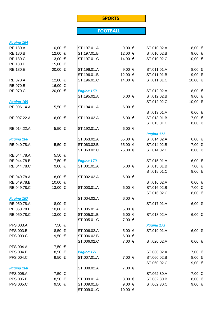#### **SPORTS**

## **FOOTBALL**

| Pagina 164                |                 |             |            |             |            |
|---------------------------|-----------------|-------------|------------|-------------|------------|
| <b>RE.180.A</b>           | 10,00 €         | ST.197.01.A | 9,00 $\in$ | ST.010.02.A | $8,00 \in$ |
| <b>RE.180.B</b>           | 12,00 €         | ST.197.01.B | 12,00 €    | ST.010.02.B | 9,00 $\in$ |
| <b>RE.180.C</b>           | 13,00 €         | ST.197.01.C | 14,00 €    | ST.010.02.C | 10,00 €    |
| RE.180.D                  | 15,00 €         |             |            |             |            |
| <b>RE.180.E</b>           | 20,00 €         | ST.196.01.A | 9,00 $\in$ | ST.011.01.A | $8,00 \in$ |
|                           |                 | ST.196.01.B | 12,00 €    | ST.011.01.B | 9,00 $\in$ |
| RE.070.A                  | 12,00 €         | ST.196.01.C | 14,00 €    | ST.011.01.C | 10,00 €    |
| <b>RE.070.B</b>           | 16,00 €         |             |            |             |            |
| RE.070.C                  | 20,00 €         | Pagina 169  |            | ST.012.02.A | $8,00 \in$ |
|                           |                 | ST.195.02.A | 6,00 €     | ST.012.02.B | 9,00 $\in$ |
| Pagina 165                |                 |             |            | ST.012.02.C | 10,00 €    |
| RE.006.14.A               | 5,50 €          | ST.194.01.A | 6,00 €     |             |            |
|                           |                 |             |            | ST.013.01.A | 6,00 €     |
| RE.007.22.A               | 6,00 $\in$      | ST.193.02.A | 6,00 €     | ST.013.01.B | 7,00 €     |
|                           |                 |             |            | ST.013.01.C | $8,00 \in$ |
| RE.014.22.A               | 5,50 €          | ST.192.01.A | 6,00 €     |             |            |
|                           |                 |             |            | Pagina 172  |            |
|                           |                 | ST.063.02.A | 55,00 €    | ST.014.02.A | 6,00 €     |
| Pagina 166<br>RE.040.78.A |                 |             | 65,00 €    |             | 7,00 €     |
|                           | 5,50 €          | ST.063.02.B |            | ST.014.02.B |            |
|                           |                 | ST.063.02.C | 75,00 €    | ST.014.02.C | $8,00 \in$ |
| RE.044.78.A               | 5,50 €          |             |            |             |            |
| RE.044.78.B               | 7,50 €          | Pagina 170  |            | ST.015.01.A | 6,00 €     |
| RE.044.78.C               | 9,00 $\in$      | ST.001.01.A | 6,00 €     | ST.015.01.B | 7,00 €     |
|                           |                 |             |            | ST.015.01.C | $8,00 \in$ |
| RE.049.78.A               | $8,00 \in$      | ST.002.02.A | 6,00 €     |             |            |
| RE.049.78.B               | 10,00 €         |             |            | ST.016.02.A | 6,00 €     |
| RE.049.78.C               | 13,00 €         | ST.003.01.A | 6,00 €     | ST.016.02.B | 7,00 €     |
|                           |                 |             |            | ST.016.02.C | $8,00 \in$ |
| Pagina 167                |                 | ST.004.02.A | 6,00 €     |             |            |
| RE.050.78.A               | $8,00 \in$      |             |            | ST.017.01.A | 6,00 €     |
| RE.050.78.B               | 10,00 €         | ST.005.01.A | 5,00 €     |             |            |
| RE.050.78.C               | 13,00 €         | ST.005.01.B | 6,00 €     | ST.018.02.A | 6,00 €     |
|                           |                 | ST.005.01.C | 7,00 €     |             |            |
| PFS.003.A                 | 7,50 €          |             |            | Pagina 173  |            |
| PFS.003.B                 | 8,50 €          | ST.006.02.A | 5,00 €     | ST.019.01.A | 6,00 €     |
| PFS.003.C                 | 9,50 $\in$      | ST.006.02.B | 6,00 €     |             |            |
|                           |                 | ST.006.02.C | 7,00 €     | ST.020.02.A | 6,00 €     |
| <b>PFS.004.A</b>          | 7,50 €          |             |            |             |            |
| <b>PFS.004.B</b>          | 8,50 €          | Pagina 171  |            | ST.060.02.A | 7,00 €     |
| <b>PFS.004.C</b>          | 9,50 $\epsilon$ | ST.007.01.A | 7,00 €     | ST.060.02.B | $8,00 \in$ |
|                           |                 |             |            | ST.060.02.C | 9,00 $\in$ |
| Pagina 168                |                 | ST.008.02.A | 7,00 €     |             |            |
| <b>PFS.005.A</b>          | 7,50 €          |             |            | ST.062.30.A | 7,00 €     |
| PFS.005.B                 | 8,50 €          | ST.009.01.A | $8,00 \in$ | ST.062.30.B | $8,00 \in$ |
| <b>PFS.005.C</b>          | 9,50 $\in$      | ST.009.01.B | 9,00 $\in$ | ST.062.30.C | 9,00 $\in$ |
|                           |                 | ST.009.01.C | 10,00 €    |             |            |
|                           |                 |             |            |             |            |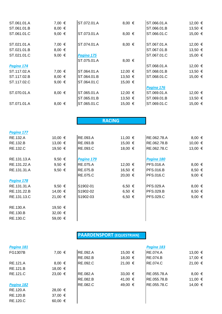| ST.061.01.A | 7,00 €          | ST.072.01.A | $8,00 \in$  | ST.066.01.A | 12,00 € |
|-------------|-----------------|-------------|-------------|-------------|---------|
| ST.061.01.B | $8,00 \in$      |             |             | ST.066.01.B | 13,50 € |
| ST.061.01.C | 9,00 $\in$      | ST.073.01.A | $8,00 \in$  | ST.066.01.C | 15,00 € |
| ST.021.01.A | 7,00 €          | ST.074.01.A | $8,00 \in$  | ST.067.01.A | 12,00 € |
| ST.021.01.B | $8,00 \in$      |             |             | ST.067.01.B | 13,50 € |
| ST.021.01.C | 9,00 $\epsilon$ | Pagina 175  |             | ST.067.01.C | 15,00 € |
|             |                 | ST.075.01.A | $8,00 \in$  |             |         |
| Pagina 174  |                 |             |             | ST.068.01.A | 12,00 € |
| ST.117.02.A | 7,00 €          | ST.064.01.A | 12,00 €     | ST.068.01.B | 13,50 € |
| ST.117.02.B | $8,00 \in$      | ST.064.01.B | $13,50 \in$ | ST.068.01.C | 15,00 € |
| ST.117.02.C | 9,00 $\in$      | ST.064.01.C | 15,00 €     |             |         |
|             |                 |             |             | Pagina 176  |         |
| ST.070.01.A | $8,00 \in$      | ST.065.01.A | 12,00 €     | ST.069.01.A | 12,00 € |
|             |                 | ST.065.01.B | $13,50 \in$ | ST.069.01.B | 13,50 € |
| ST.071.01.A | $8,00 \in$      | ST.065.01.C | 15,00 €     | ST.069.01.C | 15,00 € |
|             |                 |             |             |             |         |

### **RACING**

| 10,00 €         | <b>RE.093.A</b> | 11,00 € | RE.062.78.A      | $8,00 \in$ |
|-----------------|-----------------|---------|------------------|------------|
| 13,00 €         | RE.093.B        | 15,00 € | RE.062.78.B      | 10,00 €    |
| 19,50 €         | RE.093.C        | 18,00 € | RE.062.78.C      | 13,00 €    |
| 9,50 $\epsilon$ | Pagina 179      |         | Pagina 180       |            |
| 9,50 $\epsilon$ | <b>RE.075.A</b> | 12,00 € | <b>PFS.016.A</b> | $8,00 \in$ |
| 9,50 $\epsilon$ | <b>RE.075.B</b> | 16,50 € | <b>PFS.016.B</b> | $8,50 \in$ |
|                 | RE.075.C        | 20,00 € | <b>PFS.016.C</b> | 9,00 $\in$ |
|                 |                 |         |                  |            |
| 9,50 $\epsilon$ | S1902-01        | 6,50 €  | <b>PFS.029.A</b> | $8,00 \in$ |
| 14,00 €         | S1902-02        | 6,50 €  | <b>PFS.029.B</b> | $8,50 \in$ |
| 21,00 €         | S1902-03        | 6,50 €  | <b>PFS.029.C</b> | 9,00 $\in$ |
| 19,50 €         |                 |         |                  |            |
| 32,00 €         |                 |         |                  |            |
| 59,00 €         |                 |         |                  |            |
|                 |                 |         |                  |            |

## **PAARDENSPORT (EQUESTRIAN)**

| Pagina 181     |                  |                 |         | Pagina 183      |            |
|----------------|------------------|-----------------|---------|-----------------|------------|
| <b>FG1307B</b> | 7,00 €           | <b>RE.092.A</b> | 15,00 € | <b>RE.074.A</b> | 13,00 €    |
|                |                  | <b>RE.092.B</b> | 18,00 € | <b>RE.074.B</b> | 17,00 €    |
| RE.121.A       | $8,00 \in$       | RE.092.C        | 21,00 € | <b>RE.074.C</b> | 21,00 €    |
| RE.121.B       | 18,00 €          |                 |         |                 |            |
| RE.121.C       | 23,00 €          | <b>RE.082.A</b> | 33,00 € | RE.055.78.A     | $8,00 \in$ |
|                |                  | RE.082.B        | 41,00 € | RE.055.78.B     | 11,00 €    |
| Pagina 182     |                  | <b>RE.082.C</b> | 49,00 € | RE.055.78.C     | 14,00 €    |
| RE.120.A       | 28,00 €          |                 |         |                 |            |
| RE.120.B       | 37,00 €          |                 |         |                 |            |
| RE.120.C       | 60,00 $\epsilon$ |                 |         |                 |            |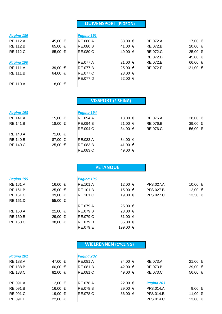#### **DUIVENSPORT (PIGEON)**

| Pagina 189      |         | Pagina 191      |         |                 |          |
|-----------------|---------|-----------------|---------|-----------------|----------|
| RE.112.A        | 45,00 € | <b>RE.080.A</b> | 33,00 € | <b>RE.072.A</b> | 17,00 €  |
| <b>RE.112.B</b> | 65,00 € | <b>RE.080.B</b> | 41,00 € | <b>RE.072.B</b> | 20,00 €  |
| RE.112.C        | 85,00 € | <b>RE.080.C</b> | 49,00 € | <b>RE.072.C</b> | 25,00 €  |
|                 |         |                 |         | <b>RE.072.D</b> | 45,00 €  |
| Pagina 190      |         | <b>RE.077.A</b> | 21,00 € | RE.072.E        | 66,00 €  |
| RE.111.A        | 39,00 € | <b>RE.077.B</b> | 25,00 € | <b>RE.072.F</b> | 121,00 € |
| RE.111.B        | 64,00 € | <b>RE.077.C</b> | 28,00 € |                 |          |
|                 |         | RE.077.D        | 52,00 € |                 |          |
| <b>RE.110.A</b> | 18,00 € |                 |         |                 |          |

|            |          | <b>VISSPORT (FISHING)</b> |         |                 |         |
|------------|----------|---------------------------|---------|-----------------|---------|
| Pagina 193 |          | Pagina 194                |         |                 |         |
| RE.141.A   | 15,00 €  | <b>RE.094.A</b>           | 18,00 € | <b>RE.076.A</b> | 28,00 € |
| RE.141.B   | 18,00 €  | <b>RE.094.B</b>           | 21,00 € | <b>RE.076.B</b> | 39,00 € |
|            |          | <b>RE.094.C</b>           | 34,00 € | <b>RE.076.C</b> | 56,00 € |
| RE.140.A   | 71,00 €  |                           |         |                 |         |
| RE.140.B   | 87,00 €  | <b>RE.083.A</b>           | 34,00 € |                 |         |
| RE.140.C   | 125,00 € | RE.083.B                  | 41,00 € |                 |         |
|            |          | <b>RE.083.C</b>           | 49,00 € |                 |         |

## **PETANQUE**

| Pagina 195 |             | Pagina 196      |             |                  |         |
|------------|-------------|-----------------|-------------|------------------|---------|
| RE.161.A   | 16,00 €     | <b>RE.101.A</b> | 12,00 €     | <b>PFS.027.A</b> | 10,00 € |
| RE.161.B   | $25,00 \in$ | RE.101.B        | 15,00 €     | <b>PFS.027.B</b> | 12,00 € |
| RE.161.C   | $39,00 \in$ | RE.101.C        | 19,00 €     | <b>PFS.027.C</b> | 13,50 € |
| RE.161.D   | 55,00 €     |                 |             |                  |         |
|            |             | RE.079.A        | 25,00 €     |                  |         |
| RE.160.A   | 21,00 €     | RE.079.B        | 28,00 €     |                  |         |
| RE.160.B   | 29,00 €     | RE.079.C        | 31,00 €     |                  |         |
| RE.160.C   | $38,00 \in$ | RE.079.D        | $35,00 \in$ |                  |         |
|            |             | <b>RE.079.E</b> | 199,00 €    |                  |         |

#### **WIELRENNEN (CYCLING)**

| 47,00 €          | <b>RE.081.A</b>  | 34,00 €     | <b>RE.073.A</b>  | 21,00 €    |
|------------------|------------------|-------------|------------------|------------|
| 60,00 $\epsilon$ | <b>RE.081.B</b>  | 42,00 €     | <b>RE.073.B</b>  | 39,00 €    |
| 82,00 €          | <b>RE.081.C</b>  | 49,00 €     | <b>RE.073.C</b>  | 56,00 €    |
| 12,00 €          | <b>IRE.078.A</b> | 22,00 €     | Pagina 203       |            |
| 16,00 €          | <b>IRE.078.B</b> | 29,00 €     | IPFS.014.A       | 9,00 $\in$ |
| 19,00 €          | <b>RE.078.C</b>  | $36,00 \in$ | <b>PFS.014.B</b> | 11,00 €    |
| 22,00 €          |                  |             | <b>PFS.014.C</b> | 13,00 €    |
|                  |                  | Pagina 202  |                  |            |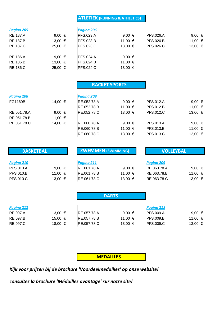#### **ATLETIEK (RUNNING & ATHLETICS)**

| Pagina 205 |         | Pagina 206        |             |                  |                 |
|------------|---------|-------------------|-------------|------------------|-----------------|
| RE.187.A   | 9,00 €  | <b>PFS.023.A</b>  | 9,00 $\in$  | <b>PFS.026.A</b> | 9,00 $\epsilon$ |
| RE.187.B   | 13,00 € | <b>PFS.023.B</b>  | 11,00 €     | <b>PFS.026.B</b> | 11,00 €         |
| RE.187.C   | 25,00 € | <b>PFS.023.C</b>  | 13,00 €     | <b>PFS.026.C</b> | 13,00 €         |
| RE.186.A   | 9,00 €  | <b>IPFS.024.A</b> | 9,00 €      |                  |                 |
| RE.186.B   | 13,00 € | <b>PFS.024.B</b>  | 11,00 €     |                  |                 |
| RE.186.C   | 25,00 € | <b>IPFS.024.C</b> | $13,00 \in$ |                  |                 |

|                        | <b>RACKET SPORTS</b> |                 |                  |                 |  |
|------------------------|----------------------|-----------------|------------------|-----------------|--|
| Pagina 208             | Pagina 209           |                 |                  |                 |  |
| FG1160B<br>14,00 €     | RE.052.78.A          | 9,00 $\epsilon$ | <b>PFS.012.A</b> | 9,00 $\in$      |  |
|                        | RE.052.78.B          | 11,00 €         | <b>PFS.012.B</b> | 11,00 €         |  |
| RE.051.78.A<br>9,00 €  | RE.052.78.C          | $13,00 \in$     | <b>PFS.012.C</b> | 13,00 €         |  |
| RE.051.78.B<br>11,00 € |                      |                 |                  |                 |  |
| RE.051.78.C<br>14,00 € | RE.060.78.A          | 9,00 €          | <b>PFS.013.A</b> | 9,00 $\epsilon$ |  |
|                        | RE.060.78.B          | 11,00 €         | <b>PFS.013.B</b> | 11,00 €         |  |
|                        | RE.060.78.C          | $13,00 \in$     | <b>PFS.013.C</b> | 13,00 €         |  |

| <b>BASKETBAL</b>               |                 | <b>ZWEMMEN (SWIMMING)</b> |            | <b>VOLLEYBAL</b>          |            |
|--------------------------------|-----------------|---------------------------|------------|---------------------------|------------|
| Pagina 210<br><b>PFS.010.A</b> | 9,00 $\epsilon$ | Pagina 211<br>RE.061.78.A | 9,00 $\in$ | Pagina 209<br>RE.063.78.A | 9,00 $\in$ |
| <b>PFS.010.B</b>               | 11,00 €         | RE.061.78.B               | 11,00 €    | RE.063.78.B               | 11,00 €    |
| <b>PFS.010.C</b>               | 13,00 €         | RE.061.78.C               | 13,00 €    | RE.063.78.C               | 13,00 €    |

|                        |         |                     | <b>DARTS</b> |                                |            |
|------------------------|---------|---------------------|--------------|--------------------------------|------------|
| Pagina 212<br>RE.097.A | 13,00 € | RE.057.78.A         | 9,00 $\in$   | Pagina 213<br><b>PFS.009.A</b> | 9,00 $\in$ |
| RE.097.B               | 15,00 € | <b>IRE.057.78.B</b> | 11,00 €      | <b>PFS.009.B</b>               | 11,00 €    |
| RE.097.C               | 18,00 € | RE.057.78.C         | 13,00 €      | <b>PFS.009.C</b>               | 13,00 €    |

 **MEDAILLES**

*Kijk voor prijzen bij de brochure 'Voordeelmedailles' op onze website!*

*consultez la brochure 'Médailles avantage' sur notre site!*